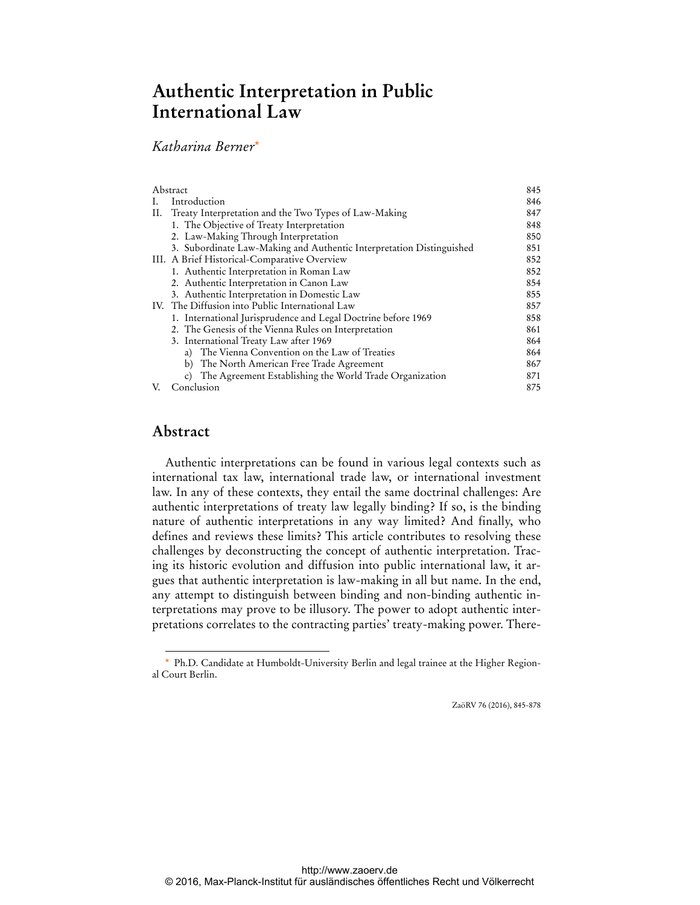# **Authentic Interpretation in Public International Law**

# *Katharina Berner*\*

| Abstract |                                                                      | 845 |
|----------|----------------------------------------------------------------------|-----|
|          | Introduction                                                         | 846 |
| П.       | Treaty Interpretation and the Two Types of Law-Making                | 847 |
|          | 1. The Objective of Treaty Interpretation                            | 848 |
|          | 2. Law-Making Through Interpretation                                 | 850 |
|          | 3. Subordinate Law-Making and Authentic Interpretation Distinguished | 851 |
|          | III. A Brief Historical-Comparative Overview                         | 852 |
|          | 1. Authentic Interpretation in Roman Law                             | 852 |
|          | 2. Authentic Interpretation in Canon Law                             | 854 |
|          | 3. Authentic Interpretation in Domestic Law                          | 855 |
|          | IV. The Diffusion into Public International Law                      | 857 |
|          | 1. International Jurisprudence and Legal Doctrine before 1969        | 858 |
|          | 2. The Genesis of the Vienna Rules on Interpretation                 | 861 |
|          | 3. International Treaty Law after 1969                               | 864 |
|          | The Vienna Convention on the Law of Treaties<br>a)                   | 864 |
|          | The North American Free Trade Agreement<br>b)                        | 867 |
|          | c) The Agreement Establishing the World Trade Organization           | 871 |
|          | Conclusion                                                           | 875 |

# **Abstract**

 $\ddot{ }$ 

Authentic interpretations can be found in various legal contexts such as international tax law, international trade law, or international investment law. In any of these contexts, they entail the same doctrinal challenges: Are authentic interpretations of treaty law legally binding? If so, is the binding nature of authentic interpretations in any way limited? And finally, who defines and reviews these limits? This article contributes to resolving these challenges by deconstructing the concept of authentic interpretation. Tracing its historic evolution and diffusion into public international law, it argues that authentic interpretation is law-making in all but name. In the end, any attempt to distinguish between binding and non-binding authentic interpretations may prove to be illusory. The power to adopt authentic interpretations correlates to the contracting parties' treaty-making power. There-

ZaöRV 76 (2016), 845-878

<sup>\*</sup> Ph.D. Candidate at Humboldt-University Berlin and legal trainee at the Higher Regional Court Berlin.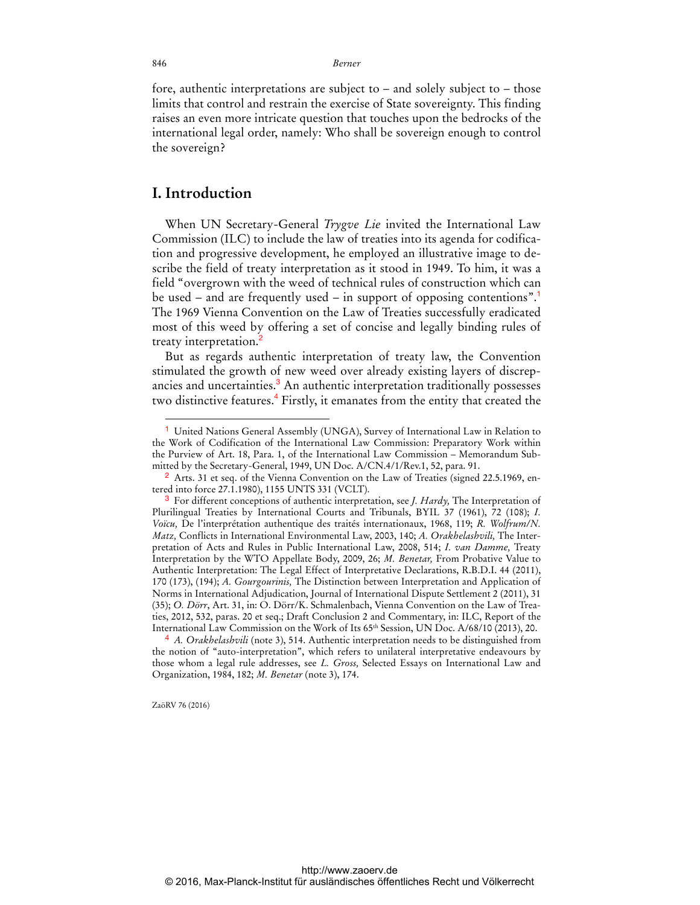fore, authentic interpretations are subject to – and solely subject to – those limits that control and restrain the exercise of State sovereignty. This finding raises an even more intricate question that touches upon the bedrocks of the international legal order, namely: Who shall be sovereign enough to control the sovereign?

# **I. Introduction**

When UN Secretary-General *Trygve Lie* invited the International Law Commission (ILC) to include the law of treaties into its agenda for codification and progressive development, he employed an illustrative image to describe the field of treaty interpretation as it stood in 1949. To him, it was a field "overgrown with the weed of technical rules of construction which can be used – and are frequently used – in support of opposing contentions".<sup>1</sup> The 1969 Vienna Convention on the Law of Treaties successfully eradicated most of this weed by offering a set of concise and legally binding rules of treaty interpretation.<sup>2</sup>

But as regards authentic interpretation of treaty law, the Convention stimulated the growth of new weed over already existing layers of discrepancies and uncertainties.<sup>3</sup> An authentic interpretation traditionally possesses two distinctive features.<sup>4</sup> Firstly, it emanates from the entity that created the

ZaöRV 76 (2016)

<sup>1</sup> United Nations General Assembly (UNGA), Survey of International Law in Relation to the Work of Codification of the International Law Commission: Preparatory Work within the Purview of Art. 18, Para. 1, of the International Law Commission – Memorandum Submitted by the Secretary-General, 1949, UN Doc. A/CN.4/1/Rev.1, 52, para. 91.

<sup>2</sup> Arts. 31 et seq. of the Vienna Convention on the Law of Treaties (signed 22.5.1969, entered into force 27.1.1980), 1155 UNTS 331 (VCLT).

<sup>3</sup> For different conceptions of authentic interpretation, see *J. Hardy,* The Interpretation of Plurilingual Treaties by International Courts and Tribunals, BYIL 37 (1961), 72 (108); *I. Voïcu,* De l'interprétation authentique des traités internationaux, 1968, 119; *R. Wolfrum/N. Matz,* Conflicts in International Environmental Law, 2003, 140; *A. Orakhelashvili,* The Interpretation of Acts and Rules in Public International Law, 2008, 514; *I. van Damme,* Treaty Interpretation by the WTO Appellate Body, 2009, 26; *M. Benetar,* From Probative Value to Authentic Interpretation: The Legal Effect of Interpretative Declarations, R.B.D.I. 44 (2011), 170 (173), (194); *A. Gourgourinis,* The Distinction between Interpretation and Application of Norms in International Adjudication, Journal of International Dispute Settlement 2 (2011), 31 (35); *O. Dörr*, Art. 31, in: O. Dörr/K. Schmalenbach, Vienna Convention on the Law of Treaties, 2012, 532, paras. 20 et seq.; Draft Conclusion 2 and Commentary, in: ILC, Report of the International Law Commission on the Work of Its 65<sup>th</sup> Session, UN Doc. A/68/10 (2013), 20.

<sup>4</sup> *A. Orakhelashvili* (note 3), 514. Authentic interpretation needs to be distinguished from the notion of "auto-interpretation", which refers to unilateral interpretative endeavours by those whom a legal rule addresses, see *L. Gross,* Selected Essays on International Law and Organization, 1984, 182; *M. Benetar* (note 3), 174.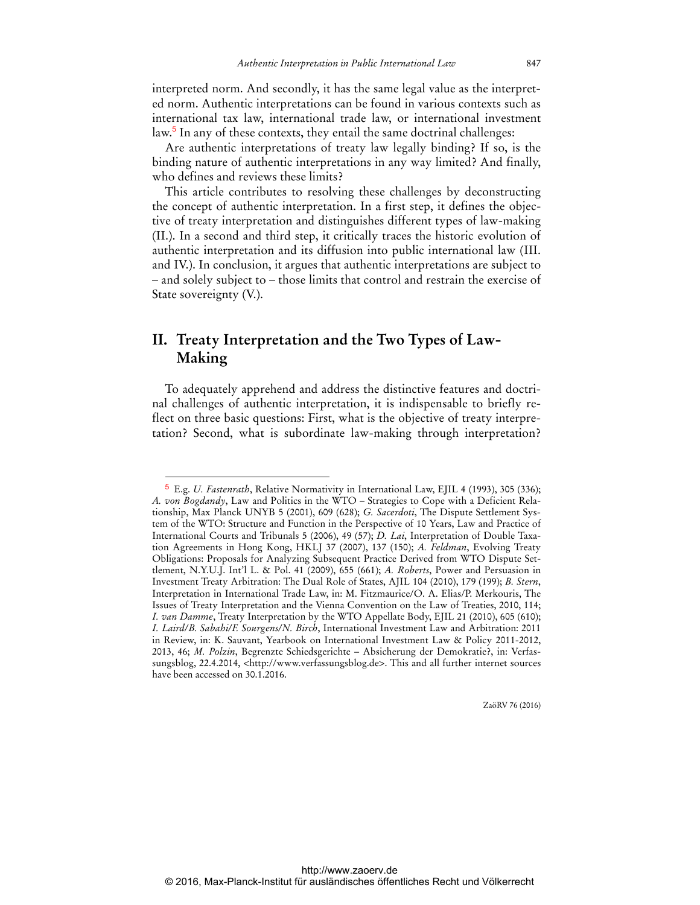interpreted norm. And secondly, it has the same legal value as the interpreted norm. Authentic interpretations can be found in various contexts such as international tax law, international trade law, or international investment law.<sup>5</sup> In any of these contexts, they entail the same doctrinal challenges:

Are authentic interpretations of treaty law legally binding? If so, is the binding nature of authentic interpretations in any way limited? And finally, who defines and reviews these limits?

This article contributes to resolving these challenges by deconstructing the concept of authentic interpretation. In a first step, it defines the objective of treaty interpretation and distinguishes different types of law-making (II.). In a second and third step, it critically traces the historic evolution of authentic interpretation and its diffusion into public international law (III. and IV.). In conclusion, it argues that authentic interpretations are subject to – and solely subject to – those limits that control and restrain the exercise of State sovereignty (V.).

# **II. Treaty Interpretation and the Two Types of Law-Making**

 $\overline{a}$ 

To adequately apprehend and address the distinctive features and doctrinal challenges of authentic interpretation, it is indispensable to briefly reflect on three basic questions: First, what is the objective of treaty interpretation? Second, what is subordinate law-making through interpretation?

<sup>5</sup> E.g. *U. Fastenrath*, Relative Normativity in International Law, EJIL 4 (1993), 305 (336); *A. von Bogdandy*, Law and Politics in the WTO – Strategies to Cope with a Deficient Relationship, Max Planck UNYB 5 (2001), 609 (628); *G. Sacerdoti*, The Dispute Settlement System of the WTO: Structure and Function in the Perspective of 10 Years, Law and Practice of International Courts and Tribunals 5 (2006), 49 (57); *D. Lai*, Interpretation of Double Taxation Agreements in Hong Kong, HKLJ 37 (2007), 137 (150); *A. Feldman*, Evolving Treaty Obligations: Proposals for Analyzing Subsequent Practice Derived from WTO Dispute Settlement, N.Y.U.J. Int'l L. & Pol. 41 (2009), 655 (661); *A. Roberts*, Power and Persuasion in Investment Treaty Arbitration: The Dual Role of States, AJIL 104 (2010), 179 (199); *B. Stern*, Interpretation in International Trade Law, in: M. Fitzmaurice/O. A. Elias/P. Merkouris, The Issues of Treaty Interpretation and the Vienna Convention on the Law of Treaties, 2010, 114; *I. van Damme*, Treaty Interpretation by the WTO Appellate Body, EJIL 21 (2010), 605 (610); *I. Laird/B. Sabahi/F. Sourgens/N. Birch*, International Investment Law and Arbitration: 2011 in Review, in: K. Sauvant, Yearbook on International Investment Law & Policy 2011-2012, 2013, 46; *M. Polzin*, Begrenzte Schiedsgerichte – Absicherung der Demokratie?, in: Verfassungsblog, 22.4.2014, [<http://www.verfassungsblog.de>. T](http://www.verfassungsblog.de)his and all further internet sources have been accessed on 30.1.2016.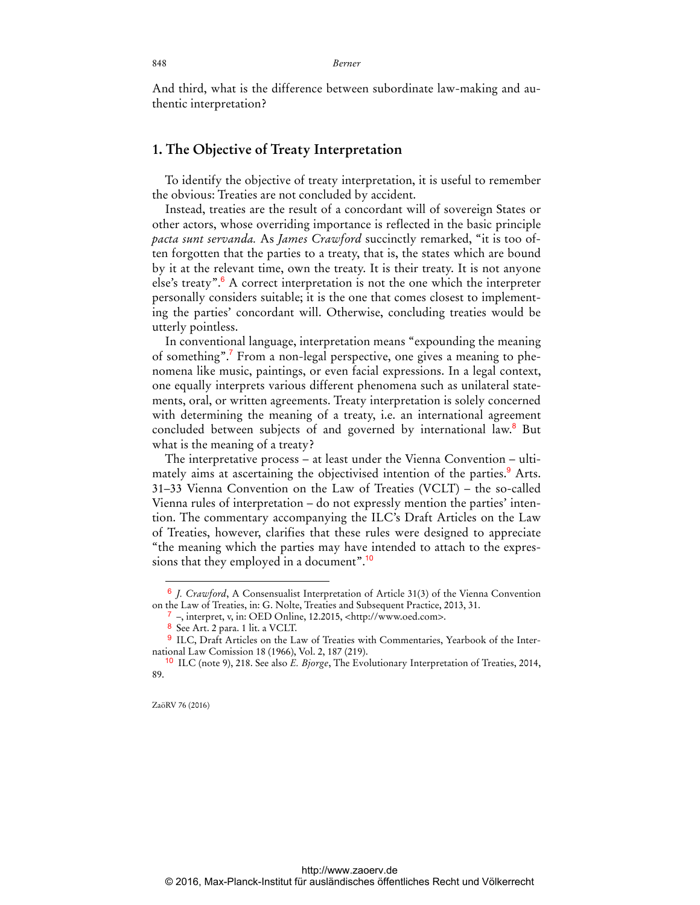And third, what is the difference between subordinate law-making and authentic interpretation?

# **1. The Objective of Treaty Interpretation**

To identify the objective of treaty interpretation, it is useful to remember the obvious: Treaties are not concluded by accident.

Instead, treaties are the result of a concordant will of sovereign States or other actors, whose overriding importance is reflected in the basic principle *pacta sunt servanda.* As *James Crawford* succinctly remarked, "it is too often forgotten that the parties to a treaty, that is, the states which are bound by it at the relevant time, own the treaty. It is their treaty. It is not anyone else's treaty".<sup>6</sup> A correct interpretation is not the one which the interpreter personally considers suitable; it is the one that comes closest to implementing the parties' concordant will. Otherwise, concluding treaties would be utterly pointless.

In conventional language, interpretation means "expounding the meaning of something".<sup>7</sup> From a non-legal perspective, one gives a meaning to phenomena like music, paintings, or even facial expressions. In a legal context, one equally interprets various different phenomena such as unilateral statements, oral, or written agreements. Treaty interpretation is solely concerned with determining the meaning of a treaty, i.e. an international agreement concluded between subjects of and governed by international law.<sup>8</sup> But what is the meaning of a treaty?

The interpretative process – at least under the Vienna Convention – ultimately aims at ascertaining the objectivised intention of the parties.<sup>9</sup> Arts. 31–33 Vienna Convention on the Law of Treaties (VCLT) – the so-called Vienna rules of interpretation – do not expressly mention the parties' intention. The commentary accompanying the ILC's Draft Articles on the Law of Treaties, however, clarifies that these rules were designed to appreciate "the meaning which the parties may have intended to attach to the expressions that they employed in a document".<sup>10</sup>

ZaöRV 76 (2016)

<sup>6</sup> *J. Crawford*, A Consensualist Interpretation of Article 31(3) of the Vienna Convention on the Law of Treaties, in: G. Nolte, Treaties and Subsequent Practice, 2013, 31.

 $7 -$ , interpret, v, in: OED Online, 12.2015, <http://www.oed.com>.

<sup>8</sup> See Art. 2 para. 1 lit. a VCLT.

<sup>&</sup>lt;sup>9</sup> ILC, Draft Articles on the Law of Treaties with Commentaries, Yearbook of the International Law Comission 18 (1966), Vol. 2, 187 (219).

<sup>10</sup> ILC (note 9), 218. See also *E. Bjorge*, The Evolutionary Interpretation of Treaties, 2014, 89.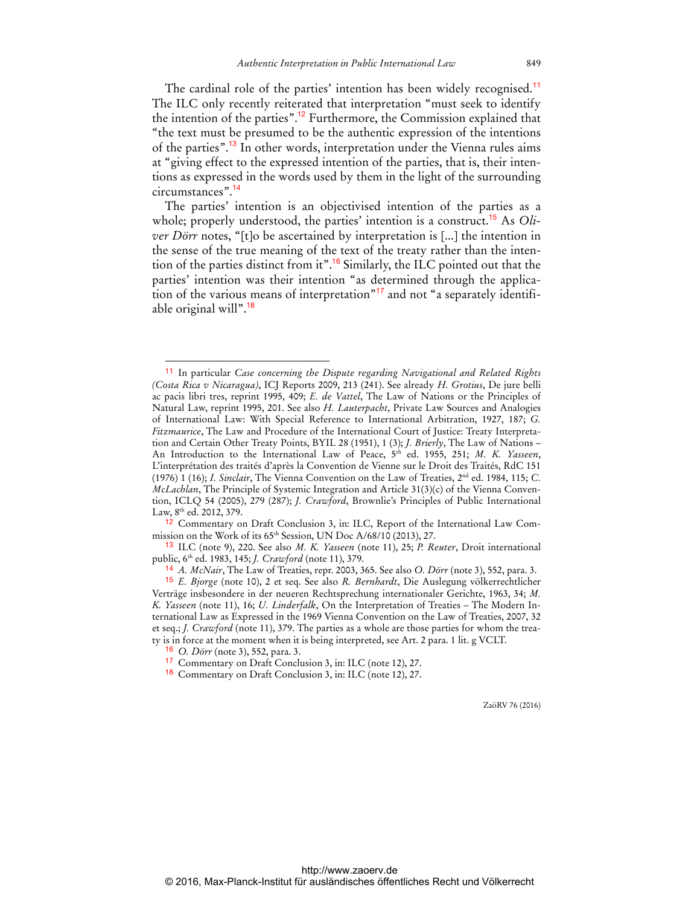The cardinal role of the parties' intention has been widely recognised.<sup>11</sup> The ILC only recently reiterated that interpretation "must seek to identify the intention of the parties".<sup>12</sup> Furthermore, the Commission explained that "the text must be presumed to be the authentic expression of the intentions of the parties".<sup>13</sup> In other words, interpretation under the Vienna rules aims at "giving effect to the expressed intention of the parties, that is, their intentions as expressed in the words used by them in the light of the surrounding circumstances".<sup>14</sup>

The parties' intention is an objectivised intention of the parties as a whole; properly understood, the parties' intention is a construct.<sup>15</sup> As *Oliver Dörr* notes, "[t]o be ascertained by interpretation is [...] the intention in the sense of the true meaning of the text of the treaty rather than the intention of the parties distinct from it".<sup>16</sup> Similarly, the ILC pointed out that the parties' intention was their intention "as determined through the application of the various means of interpretation"<sup>17</sup> and not "a separately identifiable original will".<sup>18</sup>

<sup>12</sup> Commentary on Draft Conclusion 3, in: ILC, Report of the International Law Commission on the Work of its 65<sup>th</sup> Session, UN Doc A/68/10 (2013), 27.

13 ILC (note 9), 220. See also *M. K. Yasseen* (note 11), 25; *P. Reuter*, Droit international public, 6th ed. 1983, 145; *J. Crawford* (note 11), 379.

14 *A. McNair*, The Law of Treaties, repr. 2003, 365. See also *O. Dörr* (note 3), 552, para. 3.

 $\overline{a}$ 

<sup>11</sup> In particular *Case concerning the Dispute regarding Navigational and Related Rights (Costa Rica v Nicaragua)*, ICJ Reports 2009, 213 (241). See already *H. Grotius*, De jure belli ac pacis libri tres, reprint 1995, 409; *E. de Vattel*, The Law of Nations or the Principles of Natural Law, reprint 1995, 201. See also *H. Lauterpacht*, Private Law Sources and Analogies of International Law: With Special Reference to International Arbitration, 1927, 187; *G. Fitzmaurice*, The Law and Procedure of the International Court of Justice: Treaty Interpretation and Certain Other Treaty Points, BYIL 28 (1951), 1 (3); *J. Brierly*, The Law of Nations – An Introduction to the International Law of Peace, 5<sup>th</sup> ed. 1955, 251; *M. K. Yasseen*, L'interprétation des traités d'après la Convention de Vienne sur le Droit des Traités, RdC 151 (1976) 1 (16); *I. Sinclair*, The Vienna Convention on the Law of Treaties, 2nd ed. 1984, 115; *C. McLachlan*, The Principle of Systemic Integration and Article 31(3)(c) of the Vienna Convention, ICLQ 54 (2005), 279 (287); *J. Crawford*, Brownlie's Principles of Public International Law, 8<sup>th</sup> ed. 2012, 379.

<sup>15</sup> *E. Bjorge* (note 10), 2 et seq. See also *R. Bernhardt*, Die Auslegung völkerrechtlicher Verträge insbesondere in der neueren Rechtsprechung internationaler Gerichte, 1963, 34; *M. K. Yasseen* (note 11), 16; *U. Linderfalk*, On the Interpretation of Treaties – The Modern International Law as Expressed in the 1969 Vienna Convention on the Law of Treaties, 2007, 32 et seq.; *J. Crawford* (note 11), 379. The parties as a whole are those parties for whom the treaty is in force at the moment when it is being interpreted, see Art. 2 para. 1 lit. g VCLT.

<sup>16</sup> *O. Dörr* (note 3), 552, para. 3.

<sup>17</sup> Commentary on Draft Conclusion 3, in: ILC (note 12), 27.

<sup>18</sup> Commentary on Draft Conclusion 3, in: ILC (note 12), 27.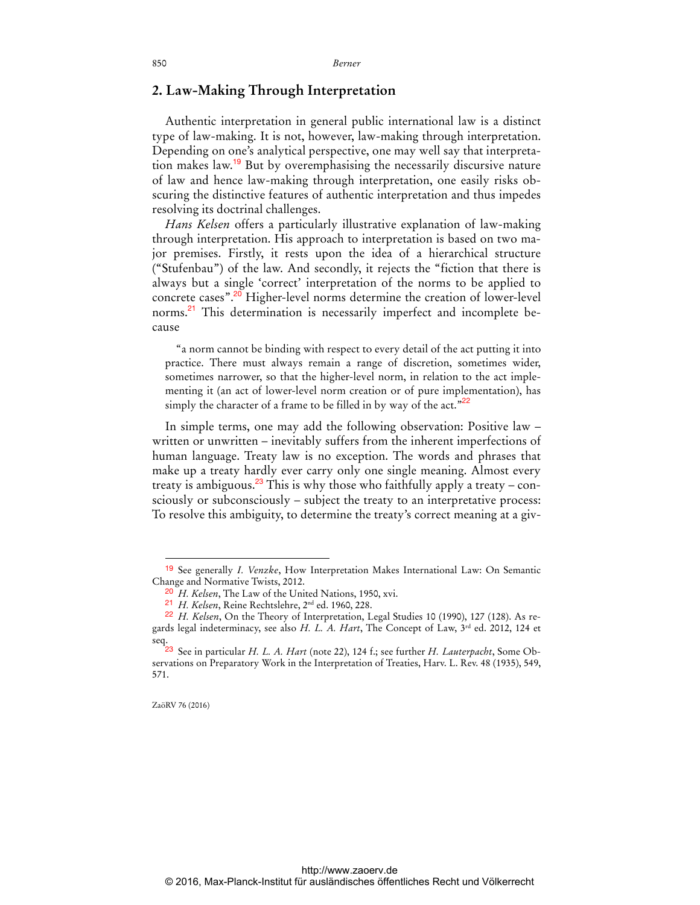### **2. Law-Making Through Interpretation**

Authentic interpretation in general public international law is a distinct type of law-making. It is not, however, law-making through interpretation. Depending on one's analytical perspective, one may well say that interpretation makes law.<sup>19</sup> But by overemphasising the necessarily discursive nature of law and hence law-making through interpretation, one easily risks obscuring the distinctive features of authentic interpretation and thus impedes resolving its doctrinal challenges.

*Hans Kelsen* offers a particularly illustrative explanation of law-making through interpretation. His approach to interpretation is based on two major premises. Firstly, it rests upon the idea of a hierarchical structure ("Stufenbau") of the law. And secondly, it rejects the "fiction that there is always but a single 'correct' interpretation of the norms to be applied to concrete cases".<sup>20</sup> Higher-level norms determine the creation of lower-level norms.<sup>21</sup> This determination is necessarily imperfect and incomplete because

"a norm cannot be binding with respect to every detail of the act putting it into practice. There must always remain a range of discretion, sometimes wider, sometimes narrower, so that the higher-level norm, in relation to the act implementing it (an act of lower-level norm creation or of pure implementation), has simply the character of a frame to be filled in by way of the act. $^{22}$ 

In simple terms, one may add the following observation: Positive law – written or unwritten – inevitably suffers from the inherent imperfections of human language. Treaty law is no exception. The words and phrases that make up a treaty hardly ever carry only one single meaning. Almost every treaty is ambiguous.<sup>23</sup> This is why those who faithfully apply a treaty – consciously or subconsciously – subject the treaty to an interpretative process: To resolve this ambiguity, to determine the treaty's correct meaning at a giv-

ZaöRV 76 (2016)

<sup>19</sup> See generally *I. Venzke*, How Interpretation Makes International Law: On Semantic Change and Normative Twists, 2012.

<sup>20</sup> *H. Kelsen*, The Law of the United Nations, 1950, xvi.

<sup>21</sup> *H. Kelsen*, Reine Rechtslehre, 2nd ed. 1960, 228.

<sup>22</sup> *H. Kelsen*, On the Theory of Interpretation, Legal Studies 10 (1990), 127 (128). As regards legal indeterminacy, see also *H. L. A. Hart*, The Concept of Law, 3rd ed. 2012, 124 et seq.

<sup>23</sup> See in particular *H. L. A. Hart* (note 22), 124 f.; see further *H. Lauterpacht*, Some Observations on Preparatory Work in the Interpretation of Treaties, Harv. L. Rev. 48 (1935), 549, 571.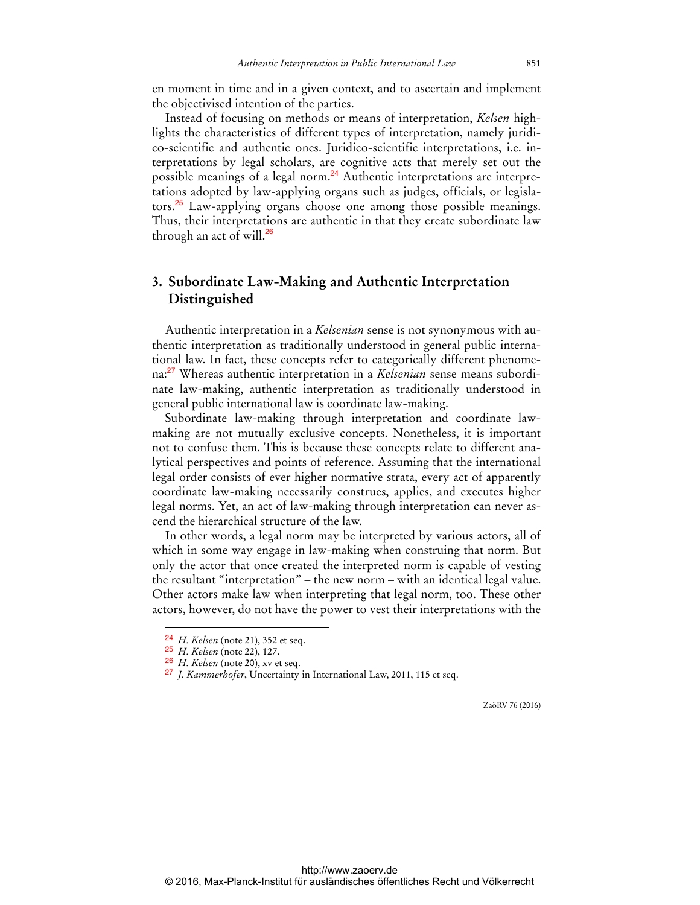en moment in time and in a given context, and to ascertain and implement the objectivised intention of the parties.

Instead of focusing on methods or means of interpretation, *Kelsen* highlights the characteristics of different types of interpretation, namely juridico-scientific and authentic ones. Juridico-scientific interpretations, i.e. interpretations by legal scholars, are cognitive acts that merely set out the possible meanings of a legal norm.<sup>24</sup> Authentic interpretations are interpretations adopted by law-applying organs such as judges, officials, or legislators.<sup>25</sup> Law-applying organs choose one among those possible meanings. Thus, their interpretations are authentic in that they create subordinate law through an act of will. $26$ 

# **3. Subordinate Law-Making and Authentic Interpretation Distinguished**

Authentic interpretation in a *Kelsenian* sense is not synonymous with authentic interpretation as traditionally understood in general public international law. In fact, these concepts refer to categorically different phenomena:27 Whereas authentic interpretation in a *Kelsenian* sense means subordinate law-making, authentic interpretation as traditionally understood in general public international law is coordinate law-making.

Subordinate law-making through interpretation and coordinate lawmaking are not mutually exclusive concepts. Nonetheless, it is important not to confuse them. This is because these concepts relate to different analytical perspectives and points of reference. Assuming that the international legal order consists of ever higher normative strata, every act of apparently coordinate law-making necessarily construes, applies, and executes higher legal norms. Yet, an act of law-making through interpretation can never ascend the hierarchical structure of the law.

In other words, a legal norm may be interpreted by various actors, all of which in some way engage in law-making when construing that norm. But only the actor that once created the interpreted norm is capable of vesting the resultant "interpretation" – the new norm – with an identical legal value. Other actors make law when interpreting that legal norm, too. These other actors, however, do not have the power to vest their interpretations with the

 $\ddot{ }$ 

<sup>24</sup> *H. Kelsen* (note 21), 352 et seq.

<sup>25</sup> *H. Kelsen* (note 22), 127.

<sup>26</sup> *H. Kelsen* (note 20), xv et seq.

<sup>27</sup> *J. Kammerhofer*, Uncertainty in International Law, 2011, 115 et seq.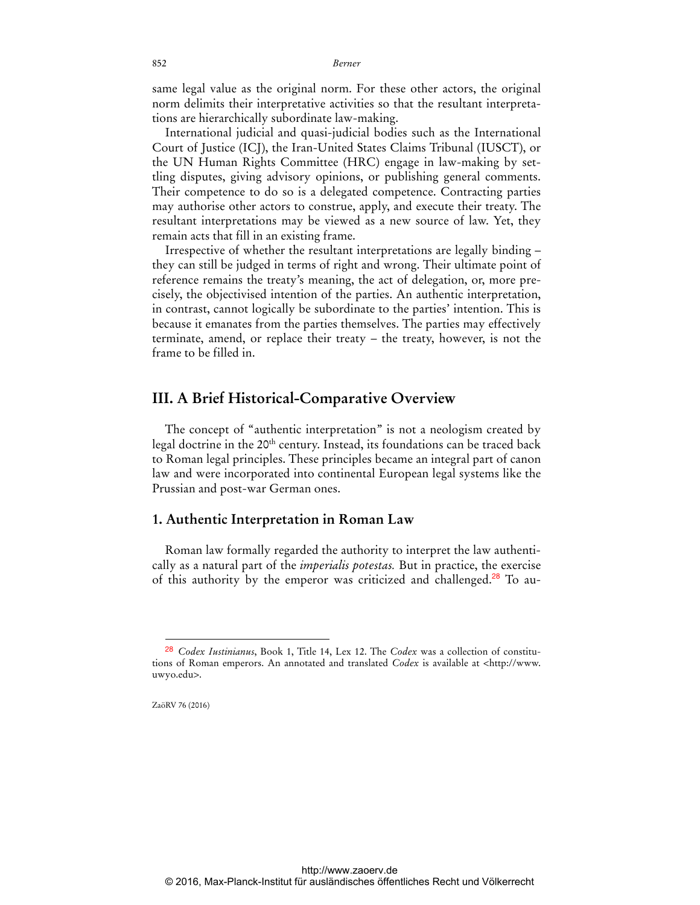same legal value as the original norm. For these other actors, the original norm delimits their interpretative activities so that the resultant interpretations are hierarchically subordinate law-making.

International judicial and quasi-judicial bodies such as the International Court of Justice (ICJ), the Iran-United States Claims Tribunal (IUSCT), or the UN Human Rights Committee (HRC) engage in law-making by settling disputes, giving advisory opinions, or publishing general comments. Their competence to do so is a delegated competence. Contracting parties may authorise other actors to construe, apply, and execute their treaty. The resultant interpretations may be viewed as a new source of law. Yet, they remain acts that fill in an existing frame.

Irrespective of whether the resultant interpretations are legally binding – they can still be judged in terms of right and wrong. Their ultimate point of reference remains the treaty's meaning, the act of delegation, or, more precisely, the objectivised intention of the parties. An authentic interpretation, in contrast, cannot logically be subordinate to the parties' intention. This is because it emanates from the parties themselves. The parties may effectively terminate, amend, or replace their treaty – the treaty, however, is not the frame to be filled in.

# **III. A Brief Historical-Comparative Overview**

The concept of "authentic interpretation" is not a neologism created by legal doctrine in the 20th century. Instead, its foundations can be traced back to Roman legal principles. These principles became an integral part of canon law and were incorporated into continental European legal systems like the Prussian and post-war German ones.

### **1. Authentic Interpretation in Roman Law**

Roman law formally regarded the authority to interpret the law authentically as a natural part of the *imperialis potestas.* But in practice, the exercise of this authority by the emperor was criticized and challenged.<sup>28</sup> To au-

ZaöRV 76 (2016)

<sup>28</sup> *Codex Iustinianus*, Book 1, Title 14, Lex 12. The *Codex* was a collection of constitutions of Roman emperors. An annotated and translated *Codex* is available at <[http://ww](http://www.uwyo.edu)w. [uwyo.edu](http://www.uwyo.edu)>.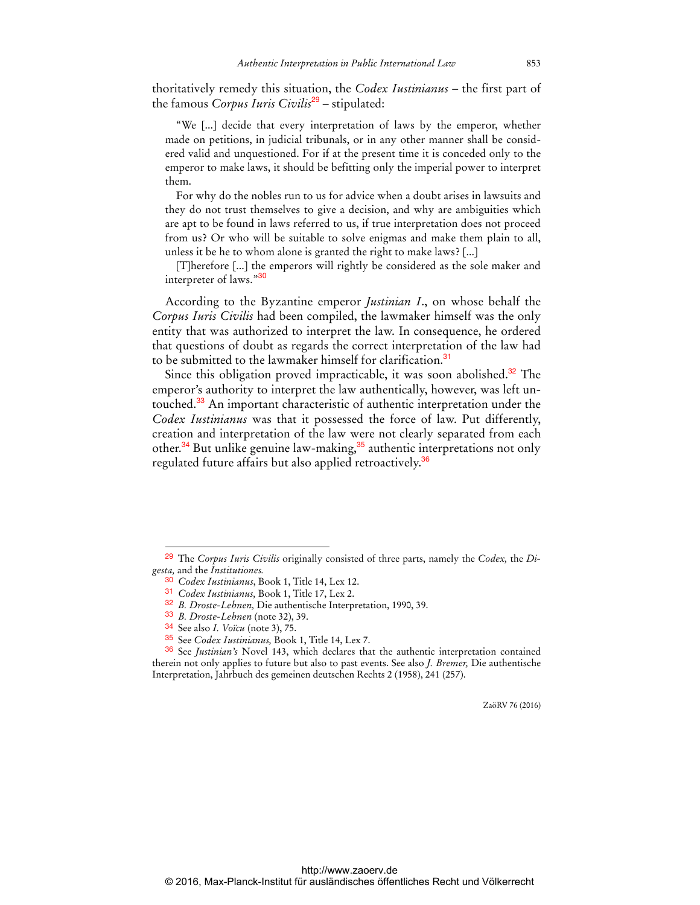thoritatively remedy this situation, the *Codex Iustinianus* – the first part of the famous *Corpus Iuris Civilis*<sup>29</sup> – stipulated:

"We [...] decide that every interpretation of laws by the emperor, whether made on petitions, in judicial tribunals, or in any other manner shall be considered valid and unquestioned. For if at the present time it is conceded only to the emperor to make laws, it should be befitting only the imperial power to interpret them.

For why do the nobles run to us for advice when a doubt arises in lawsuits and they do not trust themselves to give a decision, and why are ambiguities which are apt to be found in laws referred to us, if true interpretation does not proceed from us? Or who will be suitable to solve enigmas and make them plain to all, unless it be he to whom alone is granted the right to make laws? [...]

[T]herefore [...] the emperors will rightly be considered as the sole maker and interpreter of laws."<sup>30</sup>

According to the Byzantine emperor *Justinian I*., on whose behalf the *Corpus Iuris Civilis* had been compiled, the lawmaker himself was the only entity that was authorized to interpret the law. In consequence, he ordered that questions of doubt as regards the correct interpretation of the law had to be submitted to the lawmaker himself for clarification.<sup>31</sup>

Since this obligation proved impracticable, it was soon abolished.<sup>32</sup> The emperor's authority to interpret the law authentically, however, was left untouched.<sup>33</sup> An important characteristic of authentic interpretation under the *Codex Iustinianus* was that it possessed the force of law. Put differently, creation and interpretation of the law were not clearly separated from each other.<sup>34</sup> But unlike genuine law-making,<sup>35</sup> authentic interpretations not only regulated future affairs but also applied retroactively.<sup>36</sup>

 $\overline{a}$ 

<sup>29</sup> The *Corpus Iuris Civilis* originally consisted of three parts, namely the *Codex,* the *Digesta,* and the *Institutiones.*

<sup>30</sup> *Codex Iustinianus*, Book 1, Title 14, Lex 12.

<sup>31</sup> *Codex Iustinianus,* Book 1, Title 17, Lex 2.

<sup>32</sup> *B. Droste-Lehnen,* Die authentische Interpretation, 1990, 39.

<sup>33</sup> *B. Droste-Lehnen* (note 32), 39.

<sup>34</sup> See also *I. Voïcu* (note 3), 75.

<sup>35</sup> See *Codex Iustinianus,* Book 1, Title 14, Lex 7.

<sup>36</sup> See *Justinian's* Novel 143, which declares that the authentic interpretation contained therein not only applies to future but also to past events. See also *J. Bremer,* Die authentische Interpretation, Jahrbuch des gemeinen deutschen Rechts 2 (1958), 241 (257).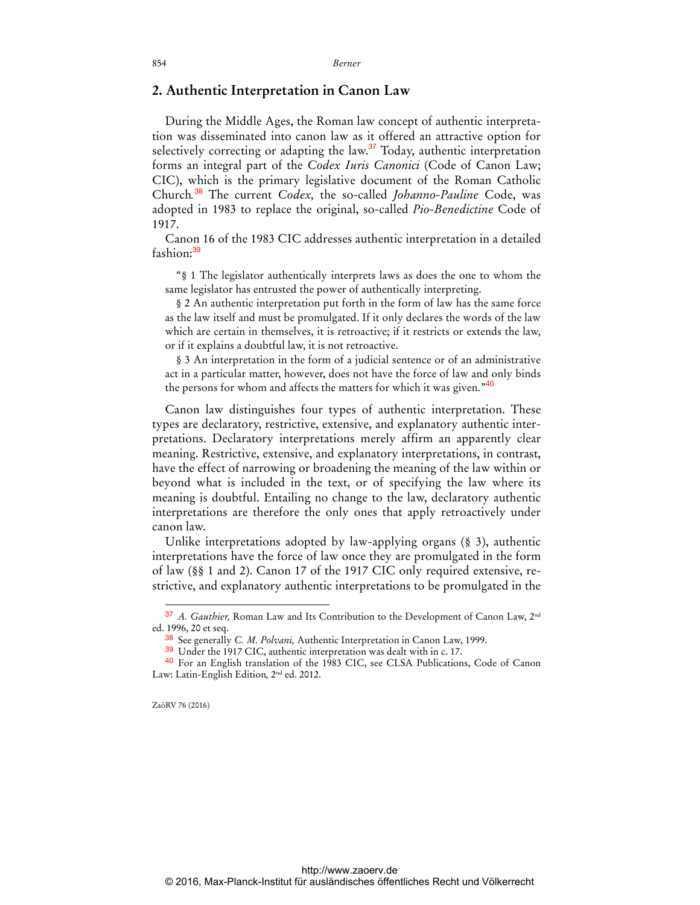### **2. Authentic Interpretation in Canon Law**

During the Middle Ages, the Roman law concept of authentic interpretation was disseminated into canon law as it offered an attractive option for selectively correcting or adapting the law. $37$  Today, authentic interpretation forms an integral part of the *Codex Iuris Canonici* (Code of Canon Law; CIC), which is the primary legislative document of the Roman Catholic Church*.* <sup>38</sup> The current *Codex,* the so-called *Johanno-Pauline* Code, was adopted in 1983 to replace the original, so-called *Pio-Benedictine* Code of 1917.

Canon 16 of the 1983 CIC addresses authentic interpretation in a detailed fashion:<sup>39</sup>

"§ 1 The legislator authentically interprets laws as does the one to whom the same legislator has entrusted the power of authentically interpreting.

§ 2 An authentic interpretation put forth in the form of law has the same force as the law itself and must be promulgated. If it only declares the words of the law which are certain in themselves, it is retroactive; if it restricts or extends the law, or if it explains a doubtful law, it is not retroactive.

§ 3 An interpretation in the form of a judicial sentence or of an administrative act in a particular matter, however, does not have the force of law and only binds the persons for whom and affects the matters for which it was given."<sup>40</sup>

Canon law distinguishes four types of authentic interpretation. These types are declaratory, restrictive, extensive, and explanatory authentic interpretations. Declaratory interpretations merely affirm an apparently clear meaning. Restrictive, extensive, and explanatory interpretations, in contrast, have the effect of narrowing or broadening the meaning of the law within or beyond what is included in the text, or of specifying the law where its meaning is doubtful. Entailing no change to the law, declaratory authentic interpretations are therefore the only ones that apply retroactively under canon law.

Unlike interpretations adopted by law-applying organs (§ 3), authentic interpretations have the force of law once they are promulgated in the form of law (§§ 1 and 2). Canon 17 of the 1917 CIC only required extensive, restrictive, and explanatory authentic interpretations to be promulgated in the

ZaöRV 76 (2016)

<sup>&</sup>lt;sup>37</sup> A. Gauthier, Roman Law and Its Contribution to the Development of Canon Law, 2<sup>nd</sup> ed. 1996, 20 et seq.

<sup>38</sup> See generally *C. M. Polvani,* Authentic Interpretation in Canon Law, 1999.

<sup>39</sup> Under the 1917 CIC, authentic interpretation was dealt with in c. 17.

<sup>40</sup> For an English translation of the 1983 CIC, see CLSA Publications, Code of Canon Law: Latin-English Edition*,* 2nd ed. 2012.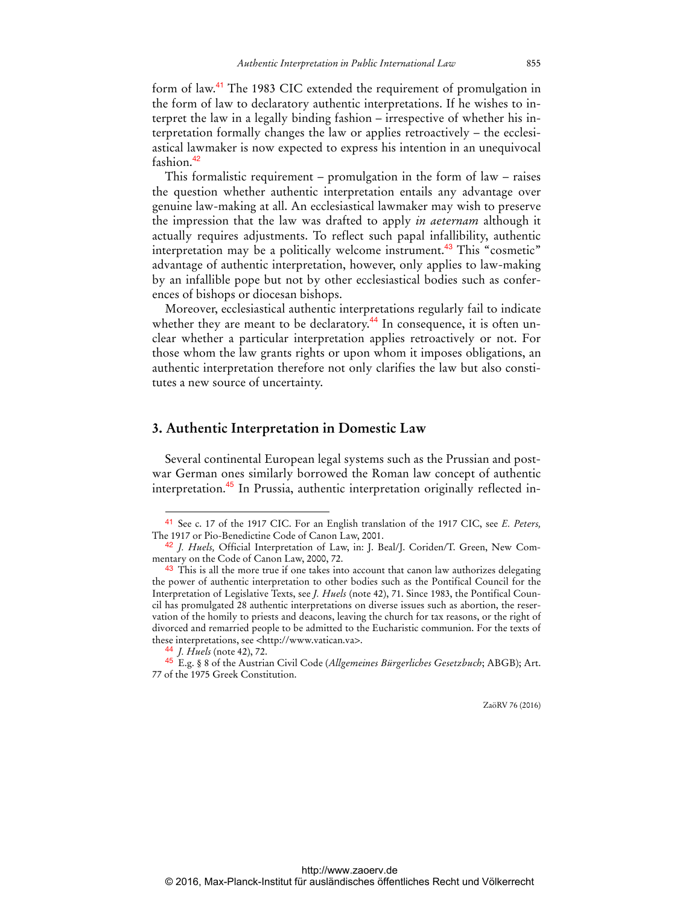form of law.<sup>41</sup> The 1983 CIC extended the requirement of promulgation in the form of law to declaratory authentic interpretations. If he wishes to interpret the law in a legally binding fashion – irrespective of whether his interpretation formally changes the law or applies retroactively – the ecclesiastical lawmaker is now expected to express his intention in an unequivocal fashion.<sup>42</sup>

This formalistic requirement – promulgation in the form of law – raises the question whether authentic interpretation entails any advantage over genuine law-making at all. An ecclesiastical lawmaker may wish to preserve the impression that the law was drafted to apply *in aeternam* although it actually requires adjustments. To reflect such papal infallibility, authentic interpretation may be a politically welcome instrument.<sup>43</sup> This "cosmetic" advantage of authentic interpretation, however, only applies to law-making by an infallible pope but not by other ecclesiastical bodies such as conferences of bishops or diocesan bishops.

Moreover, ecclesiastical authentic interpretations regularly fail to indicate whether they are meant to be declaratory.<sup>44</sup> In consequence, it is often unclear whether a particular interpretation applies retroactively or not. For those whom the law grants rights or upon whom it imposes obligations, an authentic interpretation therefore not only clarifies the law but also constitutes a new source of uncertainty.

## **3. Authentic Interpretation in Domestic Law**

Several continental European legal systems such as the Prussian and postwar German ones similarly borrowed the Roman law concept of authentic interpretation.<sup>45</sup> In Prussia, authentic interpretation originally reflected in-

 $\overline{a}$ 

<sup>41</sup> See c. 17 of the 1917 CIC. For an English translation of the 1917 CIC, see *E. Peters,*  The 1917 or Pio-Benedictine Code of Canon Law, 2001.

<sup>42</sup> *J. Huels,* Official Interpretation of Law, in: J. Beal/J. Coriden/T. Green, New Commentary on the Code of Canon Law, 2000, 72.

<sup>&</sup>lt;sup>43</sup> This is all the more true if one takes into account that canon law authorizes delegating the power of authentic interpretation to other bodies such as the Pontifical Council for the Interpretation of Legislative Texts, see *J. Huels* (note 42), 71. Since 1983, the Pontifical Council has promulgated 28 authentic interpretations on diverse issues such as abortion, the reservation of the homily to priests and deacons, leaving the church for tax reasons, or the right of divorced and remarried people to be admitted to the Eucharistic communion. For the texts of these interpretations, see [<http://www.vatican.va>.](http://www.vatican.va) 

<sup>44</sup> *J. Huels* (note 42), 72.

<sup>45</sup> E.g. § 8 of the Austrian Civil Code (*Allgemeines Bürgerliches Gesetzbuch*; ABGB); Art. 77 of the 1975 Greek Constitution.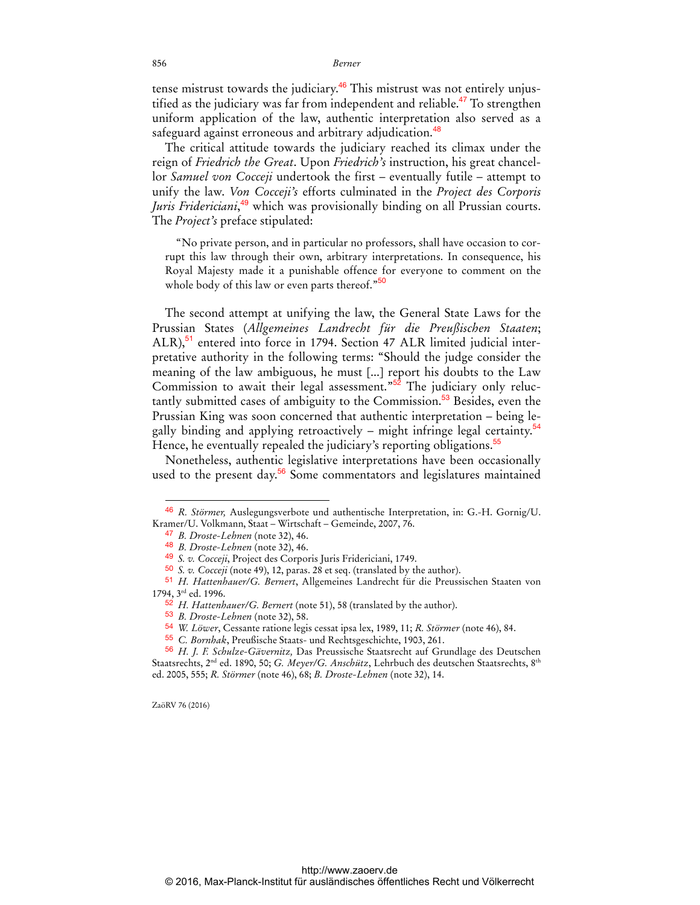tense mistrust towards the judiciary.<sup>46</sup> This mistrust was not entirely unjustified as the judiciary was far from independent and reliable.<sup>47</sup> To strengthen uniform application of the law, authentic interpretation also served as a safeguard against erroneous and arbitrary adjudication.<sup>48</sup>

The critical attitude towards the judiciary reached its climax under the reign of *Friedrich the Great*. Upon *Friedrich's* instruction, his great chancellor *Samuel von Cocceji* undertook the first – eventually futile – attempt to unify the law. *Von Cocceji's* efforts culminated in the *Project des Corporis Juris Fridericiani*, <sup>49</sup> which was provisionally binding on all Prussian courts. The *Project's* preface stipulated:

"No private person, and in particular no professors, shall have occasion to corrupt this law through their own, arbitrary interpretations. In consequence, his Royal Majesty made it a punishable offence for everyone to comment on the whole body of this law or even parts thereof."<sup>50</sup>

The second attempt at unifying the law, the General State Laws for the Prussian States (*Allgemeines Landrecht für die Preußischen Staaten*; ALR),<sup>51</sup> entered into force in 1794. Section 47 ALR limited judicial interpretative authority in the following terms: "Should the judge consider the meaning of the law ambiguous, he must [...] report his doubts to the Law Commission to await their legal assessment."<sup>52</sup> The judiciary only reluctantly submitted cases of ambiguity to the Commission.<sup>53</sup> Besides, even the Prussian King was soon concerned that authentic interpretation – being legally binding and applying retroactively – might infringe legal certainty.<sup>54</sup> Hence, he eventually repealed the judiciary's reporting obligations.<sup>55</sup>

Nonetheless, authentic legislative interpretations have been occasionally used to the present day.<sup>56</sup> Some commentators and legislatures maintained

ZaöRV 76 (2016)

<sup>46</sup> *R. Störmer,* Auslegungsverbote und authentische Interpretation, in: G.-H. Gornig/U. Kramer/U. Volkmann, Staat – Wirtschaft – Gemeinde, 2007, 76.

<sup>47</sup> *B. Droste-Lehnen* (note 32), 46.

<sup>48</sup> *B. Droste-Lehnen* (note 32), 46.

<sup>49</sup> *S. v. Cocceji*, Project des Corporis Juris Fridericiani, 1749.

<sup>50</sup> *S. v. Cocceji* (note 49), 12, paras. 28 et seq. (translated by the author).

<sup>51</sup> *H. Hattenhauer/G. Bernert*, Allgemeines Landrecht für die Preussischen Staaten von 1794, 3rd ed. 1996.

<sup>52</sup> *H. Hattenhauer/G. Bernert* (note 51), 58 (translated by the author).

<sup>53</sup> *B. Droste-Lehnen* (note 32), 58.

<sup>54</sup> *W. Löwer*, Cessante ratione legis cessat ipsa lex, 1989, 11; *R. Störmer* (note 46), 84.

<sup>55</sup> *C. Bornhak*, Preußische Staats- und Rechtsgeschichte, 1903, 261.

<sup>56</sup> *H. J. F. Schulze-Gävernitz,* Das Preussische Staatsrecht auf Grundlage des Deutschen Staatsrechts, 2nd ed. 1890, 50; *G. Meyer/G. Anschütz*, Lehrbuch des deutschen Staatsrechts, 8th ed. 2005, 555; *R. Störmer* (note 46), 68; *B. Droste-Lehnen* (note 32), 14.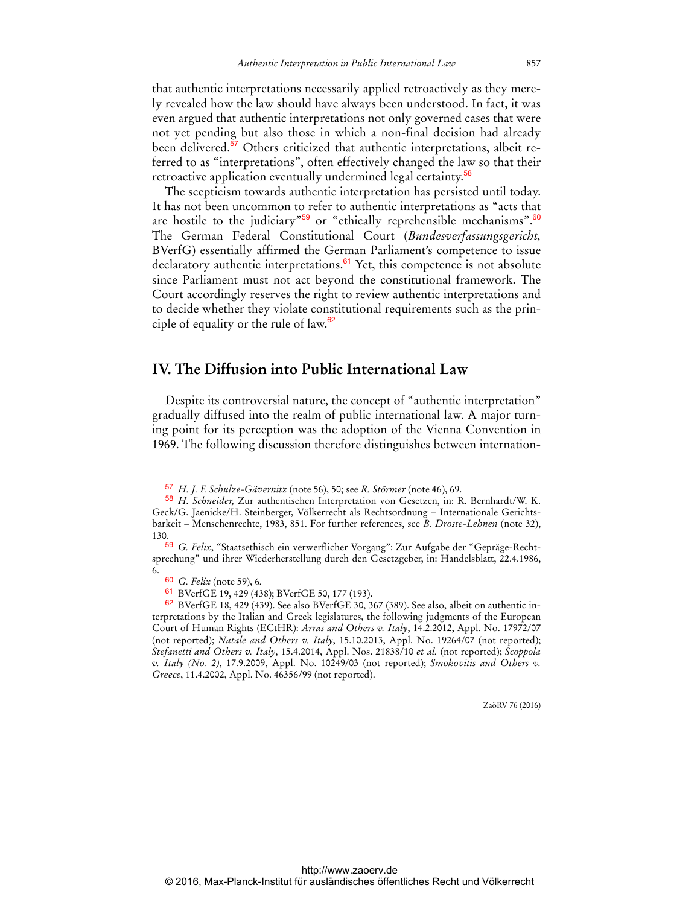that authentic interpretations necessarily applied retroactively as they merely revealed how the law should have always been understood. In fact, it was even argued that authentic interpretations not only governed cases that were not yet pending but also those in which a non-final decision had already been delivered.<sup>57</sup> Others criticized that authentic interpretations, albeit referred to as "interpretations", often effectively changed the law so that their retroactive application eventually undermined legal certainty.<sup>58</sup>

The scepticism towards authentic interpretation has persisted until today. It has not been uncommon to refer to authentic interpretations as "acts that are hostile to the judiciary<sup>"59</sup> or "ethically reprehensible mechanisms".<sup>60</sup> The German Federal Constitutional Court (*Bundesverfassungsgericht,*  BVerfG) essentially affirmed the German Parliament's competence to issue declaratory authentic interpretations.<sup>61</sup> Yet, this competence is not absolute since Parliament must not act beyond the constitutional framework. The Court accordingly reserves the right to review authentic interpretations and to decide whether they violate constitutional requirements such as the principle of equality or the rule of  $law$ <sup>62</sup>

# **IV. The Diffusion into Public International Law**

Despite its controversial nature, the concept of "authentic interpretation" gradually diffused into the realm of public international law. A major turning point for its perception was the adoption of the Vienna Convention in 1969. The following discussion therefore distinguishes between internation-

 $\overline{a}$ 

<sup>57</sup> *H. J. F. Schulze-Gävernitz* (note 56), 50; see *R. Störmer* (note 46), 69.

<sup>58</sup> *H. Schneider,* Zur authentischen Interpretation von Gesetzen, in: R. Bernhardt/W. K. Geck/G. Jaenicke/H. Steinberger, Völkerrecht als Rechtsordnung – Internationale Gerichtsbarkeit – Menschenrechte, 1983, 851. For further references, see *B. Droste-Lehnen* (note 32), 130.

<sup>59</sup> *G. Felix*, "Staatsethisch ein verwerflicher Vorgang": Zur Aufgabe der "Gepräge-Rechtsprechung" und ihrer Wiederherstellung durch den Gesetzgeber, in: Handelsblatt, 22.4.1986, 6.

<sup>60</sup> *G. Felix* (note 59), 6*.*

<sup>61</sup> BVerfGE 19, 429 (438); BVerfGE 50, 177 (193).

<sup>62</sup> BVerfGE 18, 429 (439). See also BVerfGE 30, 367 (389). See also, albeit on authentic interpretations by the Italian and Greek legislatures, the following judgments of the European Court of Human Rights (ECtHR): *Arras and Others v. Italy*, 14.2.2012, Appl. No. 17972/07 (not reported); *Natale and Others v. Italy*, 15.10.2013, Appl. No. 19264/07 (not reported); *Stefanetti and Others v. Italy*, 15.4.2014, Appl. Nos. 21838/10 *et al.* (not reported); *Scoppola v. Italy (No. 2)*, 17.9.2009, Appl. No. 10249/03 (not reported); *Smokovitis and Others v. Greece*, 11.4.2002, Appl. No. 46356/99 (not reported).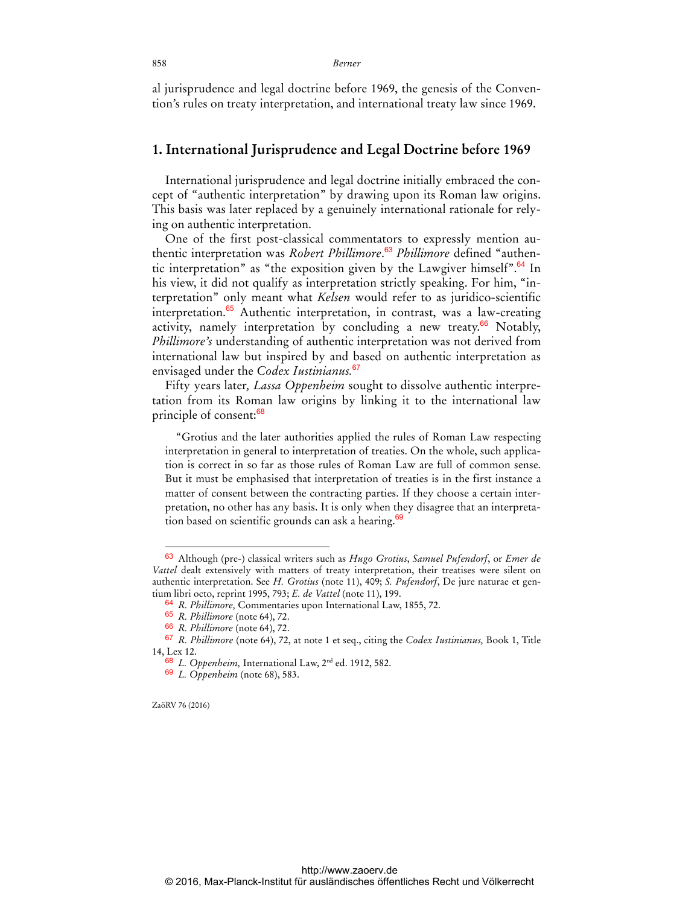al jurisprudence and legal doctrine before 1969, the genesis of the Convention's rules on treaty interpretation, and international treaty law since 1969.

# **1. International Jurisprudence and Legal Doctrine before 1969**

International jurisprudence and legal doctrine initially embraced the concept of "authentic interpretation" by drawing upon its Roman law origins. This basis was later replaced by a genuinely international rationale for relying on authentic interpretation.

One of the first post-classical commentators to expressly mention authentic interpretation was *Robert Phillimore*. <sup>63</sup> *Phillimore* defined "authentic interpretation" as "the exposition given by the Lawgiver himself".<sup>64</sup> In his view, it did not qualify as interpretation strictly speaking. For him, "interpretation" only meant what *Kelsen* would refer to as juridico-scientific interpretation.<sup>65</sup> Authentic interpretation, in contrast, was a law-creating activity, namely interpretation by concluding a new treaty.<sup>66</sup> Notably, *Phillimore's* understanding of authentic interpretation was not derived from international law but inspired by and based on authentic interpretation as envisaged under the *Codex Iustinianus.*<sup>67</sup>

Fifty years later*, Lassa Oppenheim* sought to dissolve authentic interpretation from its Roman law origins by linking it to the international law principle of consent:<sup>68</sup>

"Grotius and the later authorities applied the rules of Roman Law respecting interpretation in general to interpretation of treaties. On the whole, such application is correct in so far as those rules of Roman Law are full of common sense. But it must be emphasised that interpretation of treaties is in the first instance a matter of consent between the contracting parties. If they choose a certain interpretation, no other has any basis. It is only when they disagree that an interpretation based on scientific grounds can ask a hearing.<sup>69</sup>

ZaöRV 76 (2016)

<sup>63</sup> Although (pre-) classical writers such as *Hugo Grotius*, *Samuel Pufendorf*, or *Emer de Vattel* dealt extensively with matters of treaty interpretation, their treatises were silent on authentic interpretation. See *H. Grotius* (note 11), 409; *S. Pufendorf*, De jure naturae et gentium libri octo, reprint 1995, 793; *E. de Vattel* (note 11), 199.

<sup>64</sup> *R. Phillimore,* Commentaries upon International Law, 1855, 72.

<sup>65</sup> *R. Phillimore* (note 64), 72.

<sup>66</sup> *R. Phillimore* (note 64), 72.

<sup>67</sup> *R. Phillimore* (note 64), 72, at note 1 et seq., citing the *Codex Iustinianus,* Book 1, Title 14, Lex 12.

<sup>68</sup> *L. Oppenheim,* International Law, 2nd ed. 1912, 582.

<sup>69</sup> *L. Oppenheim* (note 68), 583.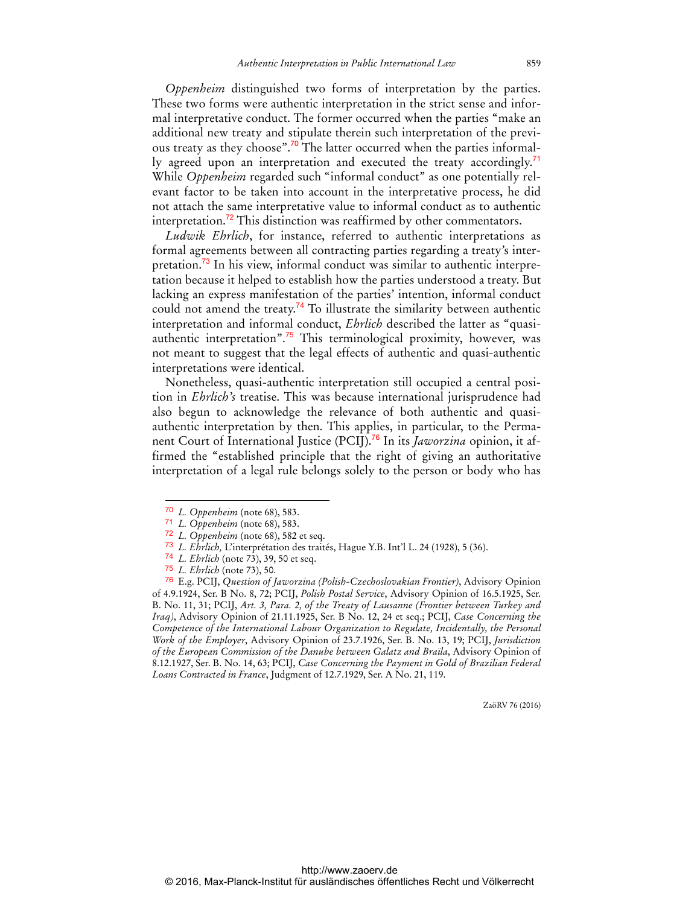*Oppenheim* distinguished two forms of interpretation by the parties. These two forms were authentic interpretation in the strict sense and informal interpretative conduct. The former occurred when the parties "make an additional new treaty and stipulate therein such interpretation of the previous treaty as they choose".<sup>70</sup> The latter occurred when the parties informally agreed upon an interpretation and executed the treaty accordingly.<sup>71</sup> While *Oppenheim* regarded such "informal conduct" as one potentially relevant factor to be taken into account in the interpretative process, he did not attach the same interpretative value to informal conduct as to authentic interpretation.<sup>72</sup> This distinction was reaffirmed by other commentators.

*Ludwik Ehrlich*, for instance, referred to authentic interpretations as formal agreements between all contracting parties regarding a treaty's interpretation.<sup>73</sup> In his view, informal conduct was similar to authentic interpretation because it helped to establish how the parties understood a treaty. But lacking an express manifestation of the parties' intention, informal conduct could not amend the treaty.<sup>74</sup> To illustrate the similarity between authentic interpretation and informal conduct, *Ehrlich* described the latter as "quasiauthentic interpretation".<sup>75</sup> This terminological proximity, however, was not meant to suggest that the legal effects of authentic and quasi-authentic interpretations were identical.

Nonetheless, quasi-authentic interpretation still occupied a central position in *Ehrlich's* treatise. This was because international jurisprudence had also begun to acknowledge the relevance of both authentic and quasiauthentic interpretation by then. This applies, in particular, to the Permanent Court of International Justice (PCIJ).76 In its *Jaworzina* opinion, it affirmed the "established principle that the right of giving an authoritative interpretation of a legal rule belongs solely to the person or body who has

 $\overline{a}$ 

<sup>70</sup> *L. Oppenheim* (note 68), 583.

<sup>71</sup> *L. Oppenheim* (note 68), 583.

<sup>72</sup> *L. Oppenheim* (note 68), 582 et seq.

<sup>73</sup> *L. Ehrlich,* L'interprétation des traités, Hague Y.B. Int'l L. 24 (1928), 5 (36).

<sup>74</sup> *L. Ehrlich* (note 73), 39, 50 et seq.

<sup>75</sup> *L. Ehrlich* (note 73), 50.

<sup>76</sup> E.g. PCIJ, *Question of Jaworzina (Polish-Czechoslovakian Frontier)*, Advisory Opinion of 4.9.1924, Ser. B No. 8, 72; PCIJ, *Polish Postal Service*, Advisory Opinion of 16.5.1925, Ser. B. No. 11, 31; PCIJ, *Art. 3, Para. 2, of the Treaty of Lausanne (Frontier between Turkey and Iraq)*, Advisory Opinion of 21.11.1925, Ser. B No. 12, 24 et seq.; PCIJ, *Case Concerning the Competence of the International Labour Organization to Regulate, Incidentally, the Personal Work of the Employer*, Advisory Opinion of 23.7.1926, Ser. B. No. 13, 19; PCIJ, *Jurisdiction of the European Commission of the Danube between Galatz and Braïla*, Advisory Opinion of 8.12.1927, Ser. B. No. 14, 63; PCIJ, *Case Concerning the Payment in Gold of Brazilian Federal Loans Contracted in France*, Judgment of 12.7.1929, Ser. A No. 21, 119.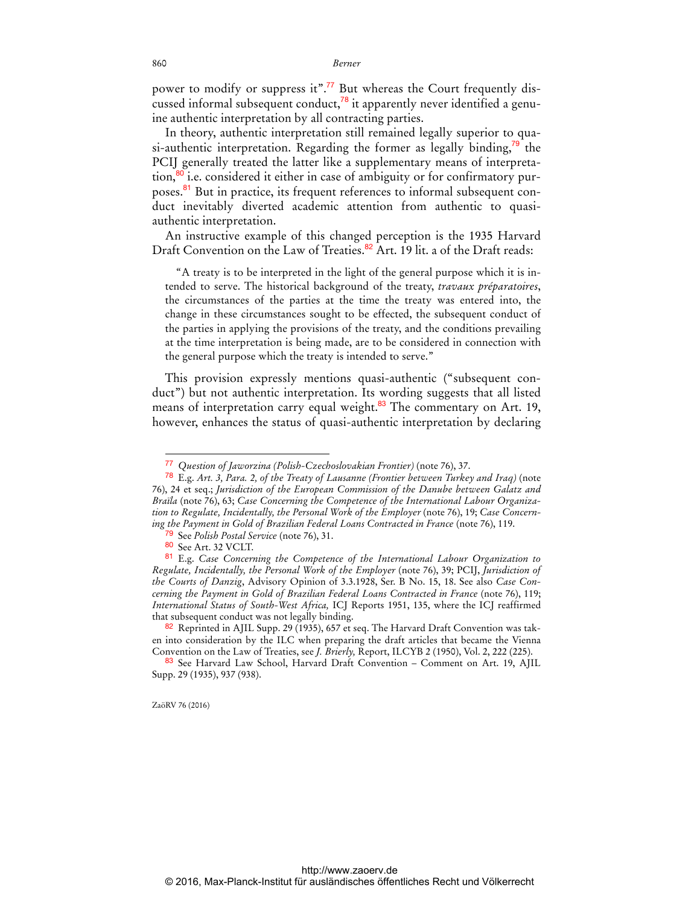power to modify or suppress it".<sup>77</sup> But whereas the Court frequently discussed informal subsequent conduct,<sup>78</sup> it apparently never identified a genuine authentic interpretation by all contracting parties.

In theory, authentic interpretation still remained legally superior to quasi-authentic interpretation. Regarding the former as legally binding, $\frac{9}{9}$  the PCIJ generally treated the latter like a supplementary means of interpretation, $80$  i.e. considered it either in case of ambiguity or for confirmatory purposes.<sup>81</sup> But in practice, its frequent references to informal subsequent conduct inevitably diverted academic attention from authentic to quasiauthentic interpretation.

An instructive example of this changed perception is the 1935 Harvard Draft Convention on the Law of Treaties.<sup>82</sup> Art. 19 lit. a of the Draft reads:

"A treaty is to be interpreted in the light of the general purpose which it is intended to serve. The historical background of the treaty, *travaux préparatoires*, the circumstances of the parties at the time the treaty was entered into, the change in these circumstances sought to be effected, the subsequent conduct of the parties in applying the provisions of the treaty, and the conditions prevailing at the time interpretation is being made, are to be considered in connection with the general purpose which the treaty is intended to serve."

This provision expressly mentions quasi-authentic ("subsequent conduct") but not authentic interpretation. Its wording suggests that all listed means of interpretation carry equal weight.<sup>83</sup> The commentary on Art. 19, however, enhances the status of quasi-authentic interpretation by declaring

 $\overline{a}$ 

<sup>77</sup> *Question of Jaworzina (Polish-Czechoslovakian Frontier)* (note 76), 37.

<sup>78</sup> E.g. *Art. 3, Para. 2, of the Treaty of Lausanne (Frontier between Turkey and Iraq)* (note 76), 24 et seq.; *Jurisdiction of the European Commission of the Danube between Galatz and Braïla* (note 76), 63; *Case Concerning the Competence of the International Labour Organization to Regulate, Incidentally, the Personal Work of the Employer* (note 76), 19; *Case Concerning the Payment in Gold of Brazilian Federal Loans Contracted in France* (note 76), 119.

<sup>79</sup> See *Polish Postal Service* (note 76), 31.

<sup>80</sup> See Art. 32 VCLT.

<sup>81</sup> E.g. *Case Concerning the Competence of the International Labour Organization to Regulate, Incidentally, the Personal Work of the Employer* (note 76), 39; PCIJ, *Jurisdiction of the Courts of Danzig*, Advisory Opinion of 3.3.1928, Ser. B No. 15, 18. See also *Case Concerning the Payment in Gold of Brazilian Federal Loans Contracted in France* (note 76), 119; *International Status of South-West Africa,* ICJ Reports 1951, 135, where the ICJ reaffirmed that subsequent conduct was not legally binding.

<sup>82</sup> Reprinted in AJIL Supp. 29 (1935), 657 et seq. The Harvard Draft Convention was taken into consideration by the ILC when preparing the draft articles that became the Vienna Convention on the Law of Treaties, see *J. Brierly,* Report, ILCYB 2 (1950), Vol. 2, 222 (225).

<sup>83</sup> See Harvard Law School, Harvard Draft Convention – Comment on Art. 19, AJIL Supp. 29 (1935), 937 (938).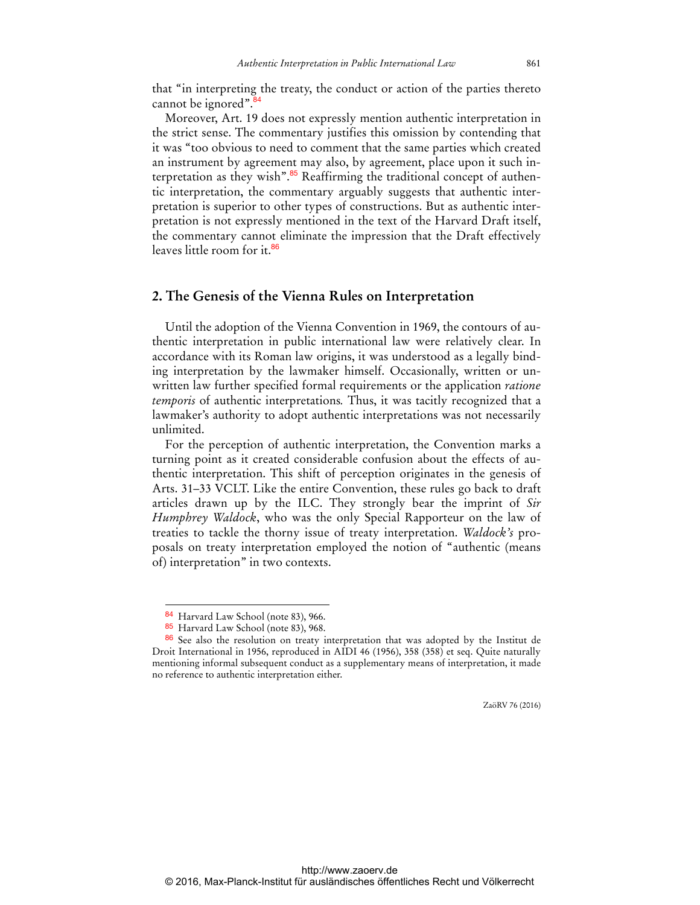that "in interpreting the treaty, the conduct or action of the parties thereto cannot be ignored".<sup>84</sup>

Moreover, Art. 19 does not expressly mention authentic interpretation in the strict sense. The commentary justifies this omission by contending that it was "too obvious to need to comment that the same parties which created an instrument by agreement may also, by agreement, place upon it such interpretation as they wish". $85$  Reaffirming the traditional concept of authentic interpretation, the commentary arguably suggests that authentic interpretation is superior to other types of constructions. But as authentic interpretation is not expressly mentioned in the text of the Harvard Draft itself, the commentary cannot eliminate the impression that the Draft effectively leaves little room for it.<sup>86</sup>

### **2. The Genesis of the Vienna Rules on Interpretation**

Until the adoption of the Vienna Convention in 1969, the contours of authentic interpretation in public international law were relatively clear. In accordance with its Roman law origins, it was understood as a legally binding interpretation by the lawmaker himself. Occasionally, written or unwritten law further specified formal requirements or the application *ratione temporis* of authentic interpretations*.* Thus, it was tacitly recognized that a lawmaker's authority to adopt authentic interpretations was not necessarily unlimited.

For the perception of authentic interpretation, the Convention marks a turning point as it created considerable confusion about the effects of authentic interpretation. This shift of perception originates in the genesis of Arts. 31–33 VCLT. Like the entire Convention, these rules go back to draft articles drawn up by the ILC. They strongly bear the imprint of *Sir Humphrey Waldock*, who was the only Special Rapporteur on the law of treaties to tackle the thorny issue of treaty interpretation. *Waldock's* proposals on treaty interpretation employed the notion of "authentic (means of) interpretation" in two contexts.

 $\overline{a}$ 

<sup>84</sup> Harvard Law School (note 83), 966.

<sup>85</sup> Harvard Law School (note 83), 968.

<sup>86</sup> See also the resolution on treaty interpretation that was adopted by the Institut de Droit International in 1956, reproduced in AIDI 46 (1956), 358 (358) et seq. Quite naturally mentioning informal subsequent conduct as a supplementary means of interpretation, it made no reference to authentic interpretation either.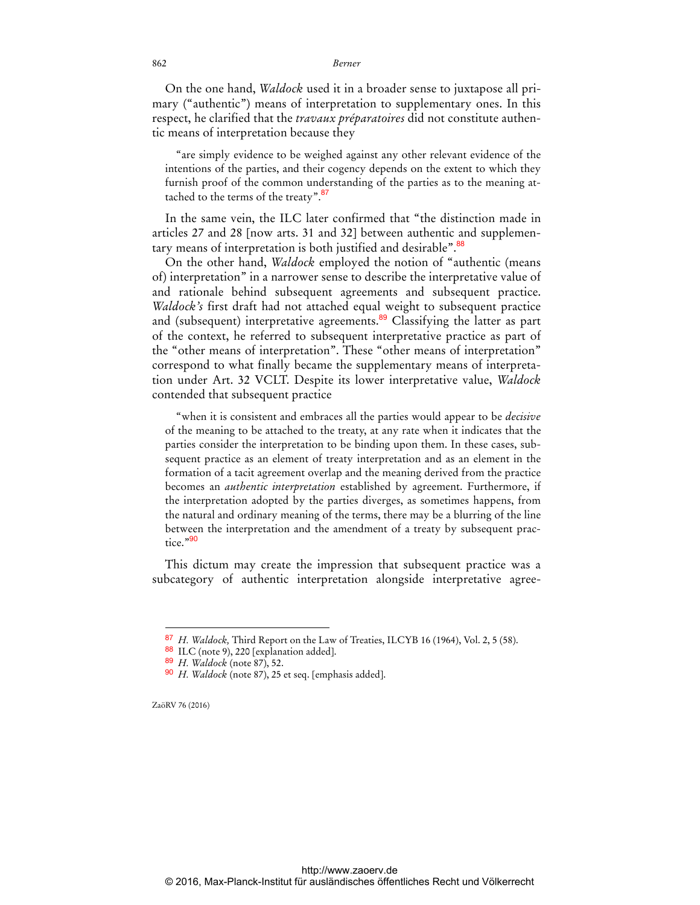On the one hand, *Waldock* used it in a broader sense to juxtapose all primary ("authentic") means of interpretation to supplementary ones. In this respect, he clarified that the *travaux préparatoires* did not constitute authentic means of interpretation because they

"are simply evidence to be weighed against any other relevant evidence of the intentions of the parties, and their cogency depends on the extent to which they furnish proof of the common understanding of the parties as to the meaning attached to the terms of the treaty". $87$ 

In the same vein, the ILC later confirmed that "the distinction made in articles 27 and 28 [now arts. 31 and 32] between authentic and supplementary means of interpretation is both justified and desirable".<sup>88</sup>

On the other hand, *Waldock* employed the notion of "authentic (means of) interpretation" in a narrower sense to describe the interpretative value of and rationale behind subsequent agreements and subsequent practice. *Waldock's* first draft had not attached equal weight to subsequent practice and (subsequent) interpretative agreements.<sup>89</sup> Classifying the latter as part of the context, he referred to subsequent interpretative practice as part of the "other means of interpretation". These "other means of interpretation" correspond to what finally became the supplementary means of interpretation under Art. 32 VCLT. Despite its lower interpretative value, *Waldock* contended that subsequent practice

"when it is consistent and embraces all the parties would appear to be *decisive* of the meaning to be attached to the treaty, at any rate when it indicates that the parties consider the interpretation to be binding upon them. In these cases, subsequent practice as an element of treaty interpretation and as an element in the formation of a tacit agreement overlap and the meaning derived from the practice becomes an *authentic interpretation* established by agreement. Furthermore, if the interpretation adopted by the parties diverges, as sometimes happens, from the natural and ordinary meaning of the terms, there may be a blurring of the line between the interpretation and the amendment of a treaty by subsequent practice."<sup>90</sup>

This dictum may create the impression that subsequent practice was a subcategory of authentic interpretation alongside interpretative agree-

ZaöRV 76 (2016)

<sup>87</sup> *H. Waldock,* Third Report on the Law of Treaties, ILCYB 16 (1964), Vol. 2, 5 (58).

<sup>88</sup> ILC (note 9), 220 [explanation added].

<sup>89</sup> *H. Waldock* (note 87), 52.

<sup>90</sup> *H. Waldock* (note 87), 25 et seq. [emphasis added].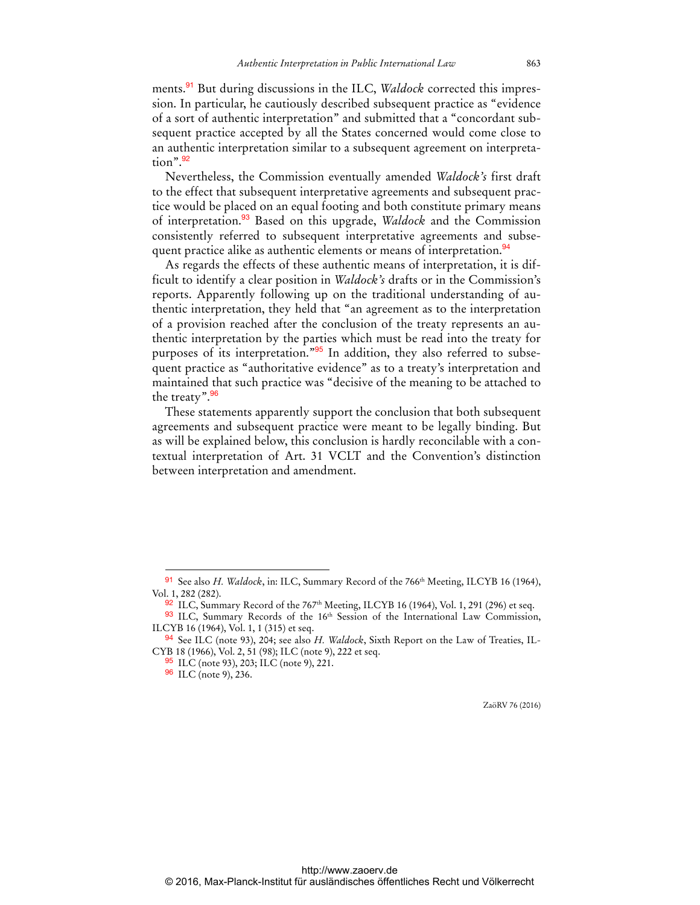ments.91 But during discussions in the ILC, *Waldock* corrected this impression. In particular, he cautiously described subsequent practice as "evidence of a sort of authentic interpretation" and submitted that a "concordant subsequent practice accepted by all the States concerned would come close to an authentic interpretation similar to a subsequent agreement on interpretation".<sup>92</sup>

Nevertheless, the Commission eventually amended *Waldock's* first draft to the effect that subsequent interpretative agreements and subsequent practice would be placed on an equal footing and both constitute primary means of interpretation.<sup>93</sup> Based on this upgrade, *Waldock* and the Commission consistently referred to subsequent interpretative agreements and subsequent practice alike as authentic elements or means of interpretation.<sup>94</sup>

As regards the effects of these authentic means of interpretation, it is difficult to identify a clear position in *Waldock's* drafts or in the Commission's reports. Apparently following up on the traditional understanding of authentic interpretation, they held that "an agreement as to the interpretation of a provision reached after the conclusion of the treaty represents an authentic interpretation by the parties which must be read into the treaty for purposes of its interpretation."<sup>95</sup> In addition, they also referred to subsequent practice as "authoritative evidence" as to a treaty's interpretation and maintained that such practice was "decisive of the meaning to be attached to the treaty".<sup>96</sup>

These statements apparently support the conclusion that both subsequent agreements and subsequent practice were meant to be legally binding. But as will be explained below, this conclusion is hardly reconcilable with a contextual interpretation of Art. 31 VCLT and the Convention's distinction between interpretation and amendment.

 $\overline{a}$ 

<sup>&</sup>lt;sup>91</sup> See also *H. Waldock*, in: ILC, Summary Record of the 766<sup>th</sup> Meeting, ILCYB 16 (1964), Vol. 1, 282 (282).

<sup>92</sup> ILC, Summary Record of the 767<sup>th</sup> Meeting, ILCYB 16 (1964), Vol. 1, 291 (296) et seq.

<sup>93</sup> ILC, Summary Records of the 16<sup>th</sup> Session of the International Law Commission, ILCYB 16 (1964), Vol. 1, 1 (315) et seq.

<sup>94</sup> See ILC (note 93), 204; see also *H. Waldock*, Sixth Report on the Law of Treaties, IL-CYB 18 (1966), Vol. 2, 51 (98); ILC (note 9), 222 et seq.

<sup>95</sup> ILC (note 93), 203; ILC (note 9), 221.

<sup>96</sup> ILC (note 9), 236.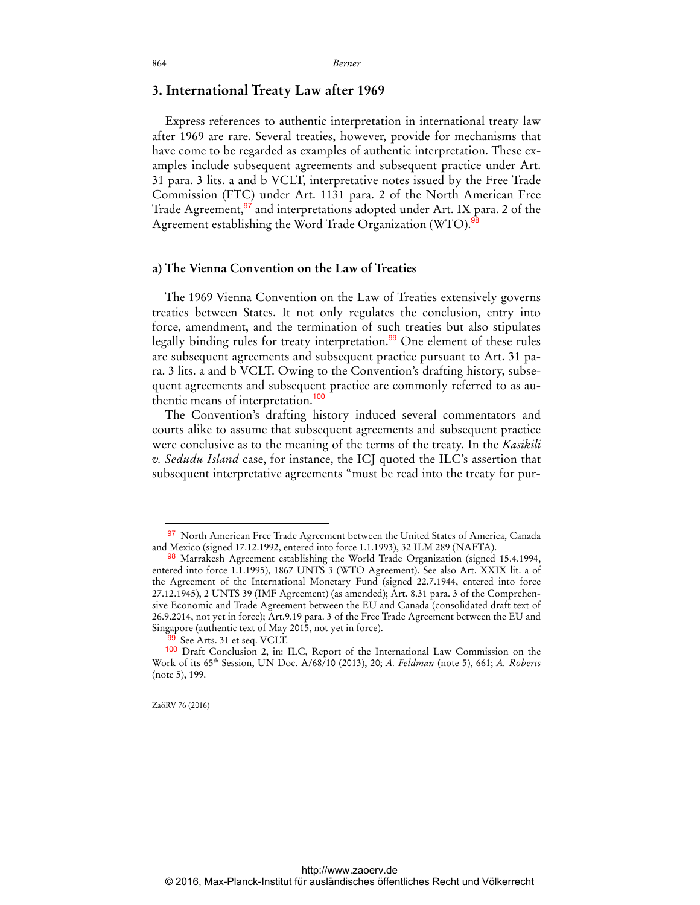### **3. International Treaty Law after 1969**

Express references to authentic interpretation in international treaty law after 1969 are rare. Several treaties, however, provide for mechanisms that have come to be regarded as examples of authentic interpretation. These examples include subsequent agreements and subsequent practice under Art. 31 para. 3 lits. a and b VCLT, interpretative notes issued by the Free Trade Commission (FTC) under Art. 1131 para. 2 of the North American Free Trade Agreement,<sup>97</sup> and interpretations adopted under Art. IX para. 2 of the Agreement establishing the Word Trade Organization (WTO).<sup>98</sup>

#### **a) The Vienna Convention on the Law of Treaties**

The 1969 Vienna Convention on the Law of Treaties extensively governs treaties between States. It not only regulates the conclusion, entry into force, amendment, and the termination of such treaties but also stipulates legally binding rules for treaty interpretation.<sup>99</sup> One element of these rules are subsequent agreements and subsequent practice pursuant to Art. 31 para. 3 lits. a and b VCLT. Owing to the Convention's drafting history, subsequent agreements and subsequent practice are commonly referred to as authentic means of interpretation.<sup>100</sup>

The Convention's drafting history induced several commentators and courts alike to assume that subsequent agreements and subsequent practice were conclusive as to the meaning of the terms of the treaty. In the *Kasikili v. Sedudu Island* case, for instance, the ICJ quoted the ILC's assertion that subsequent interpretative agreements "must be read into the treaty for pur-

ZaöRV 76 (2016)

<sup>97</sup> North American Free Trade Agreement between the United States of America, Canada and Mexico (signed 17.12.1992, entered into force 1.1.1993), 32 ILM 289 (NAFTA).

<sup>98</sup> Marrakesh Agreement establishing the World Trade Organization (signed 15.4.1994, entered into force 1.1.1995), 1867 UNTS 3 (WTO Agreement). See also Art. XXIX lit. a of the Agreement of the International Monetary Fund (signed 22.7.1944, entered into force 27.12.1945), 2 UNTS 39 (IMF Agreement) (as amended); Art. 8.31 para. 3 of the Comprehensive Economic and Trade Agreement between the EU and Canada (consolidated draft text of 26.9.2014, not yet in force); Art.9.19 para. 3 of the Free Trade Agreement between the EU and Singapore (authentic text of May 2015, not yet in force).

See Arts. 31 et seq. VCLT.

<sup>100</sup> Draft Conclusion 2, in: ILC, Report of the International Law Commission on the Work of its 65th Session, UN Doc. A/68/10 (2013), 20; *A. Feldman* (note 5), 661; *A. Roberts* (note 5), 199.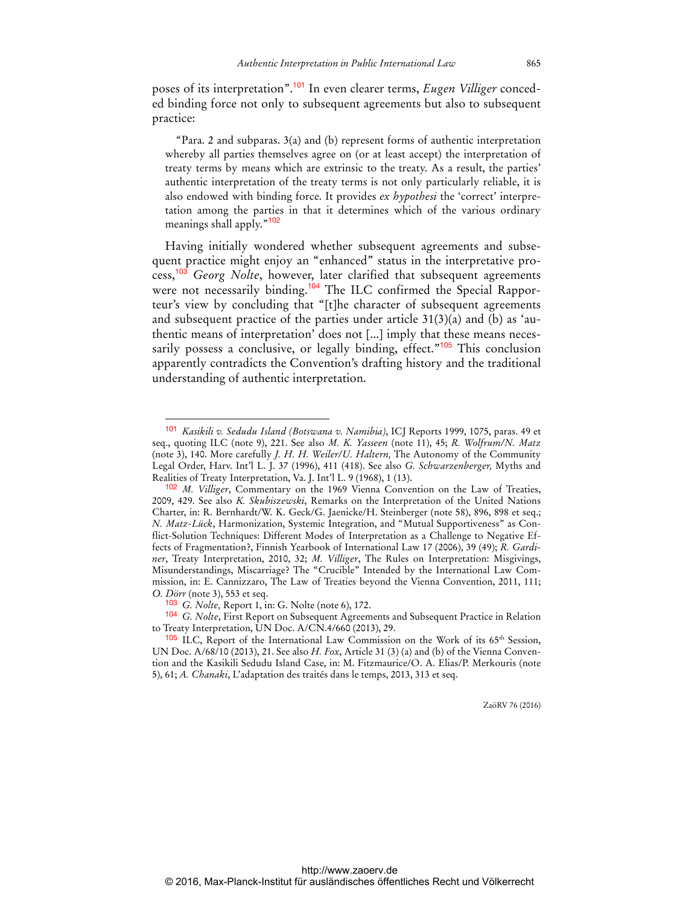poses of its interpretation".101 In even clearer terms, *Eugen Villiger* conceded binding force not only to subsequent agreements but also to subsequent practice:

"Para. 2 and subparas. 3(a) and (b) represent forms of authentic interpretation whereby all parties themselves agree on (or at least accept) the interpretation of treaty terms by means which are extrinsic to the treaty. As a result, the parties' authentic interpretation of the treaty terms is not only particularly reliable, it is also endowed with binding force. It provides *ex hypothesi* the 'correct' interpretation among the parties in that it determines which of the various ordinary meanings shall apply."<sup>102</sup>

Having initially wondered whether subsequent agreements and subsequent practice might enjoy an "enhanced" status in the interpretative process,<sup>103</sup> *Georg Nolte*, however, later clarified that subsequent agreements were not necessarily binding.<sup>104</sup> The ILC confirmed the Special Rapporteur's view by concluding that "[t]he character of subsequent agreements and subsequent practice of the parties under article 31(3)(a) and (b) as 'authentic means of interpretation' does not [...] imply that these means necessarily possess a conclusive, or legally binding, effect."<sup>105</sup> This conclusion apparently contradicts the Convention's drafting history and the traditional understanding of authentic interpretation.

 $\overline{a}$ 

<sup>101</sup> *Kasikili v. Sedudu Island (Botswana v. Namibia)*, ICJ Reports 1999, 1075, paras. 49 et seq., quoting ILC (note 9), 221. See also *M. K. Yasseen* (note 11), 45; *R. Wolfrum/N. Matz* (note 3), 140. More carefully *J. H. H. Weiler/U. Haltern,* The Autonomy of the Community Legal Order, Harv. Int'l L. J. 37 (1996), 411 (418). See also *G. Schwarzenberger,* Myths and Realities of Treaty Interpretation, Va. J. Int'l L. 9 (1968), 1 (13).

<sup>102</sup> *M. Villiger*, Commentary on the 1969 Vienna Convention on the Law of Treaties, 2009, 429. See also *K. Skubiszewski*, Remarks on the Interpretation of the United Nations Charter, in: R. Bernhardt/W. K. Geck/G. Jaenicke/H. Steinberger (note 58), 896, 898 et seq.; *N. Matz-Lück*, Harmonization, Systemic Integration, and "Mutual Supportiveness" as Conflict-Solution Techniques: Different Modes of Interpretation as a Challenge to Negative Effects of Fragmentation?, Finnish Yearbook of International Law 17 (2006), 39 (49); *R. Gardiner*, Treaty Interpretation, 2010, 32; *M. Villiger*, The Rules on Interpretation: Misgivings, Misunderstandings, Miscarriage? The "Crucible" Intended by the International Law Commission, in: E. Cannizzaro, The Law of Treaties beyond the Vienna Convention, 2011, 111; *O. Dörr* (note 3), 553 et seq.

<sup>103</sup> *G. Nolte,* Report 1, in: G. Nolte (note 6), 172.

<sup>104</sup> *G. Nolte*, First Report on Subsequent Agreements and Subsequent Practice in Relation to Treaty Interpretation, UN Doc. A/CN.4/660 (2013), 29.

<sup>&</sup>lt;sup>105</sup> ILC, Report of the International Law Commission on the Work of its 65<sup>th</sup> Session, UN Doc. A/68/10 (2013), 21. See also *H. Fox*, Article 31 (3) (a) and (b) of the Vienna Convention and the Kasikili Sedudu Island Case, in: M. Fitzmaurice/O. A. Elias/P. Merkouris (note 5), 61; *A. Chanaki*, L'adaptation des traités dans le temps, 2013, 313 et seq.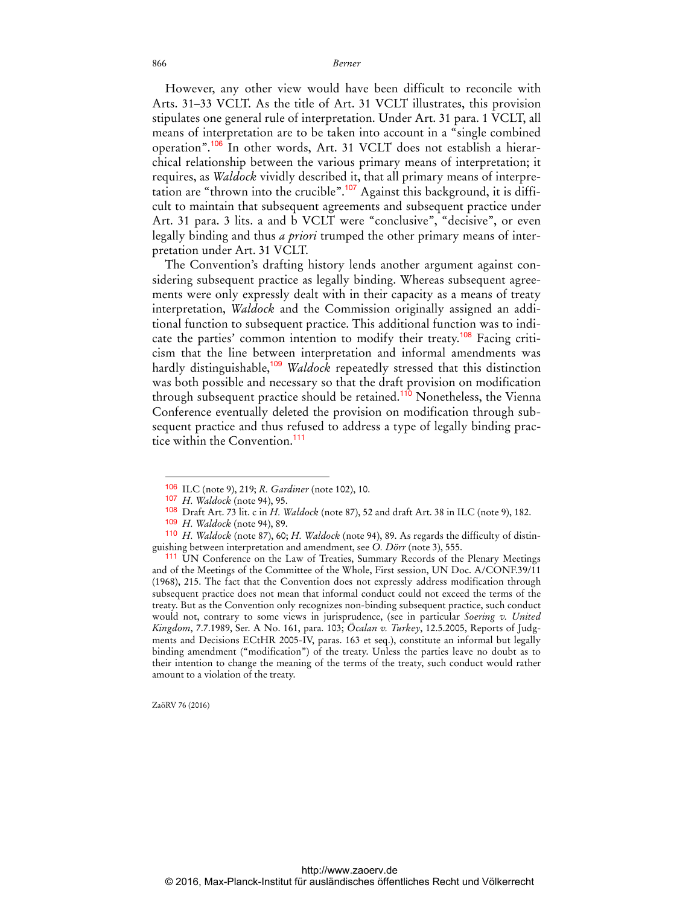However, any other view would have been difficult to reconcile with Arts. 31–33 VCLT. As the title of Art. 31 VCLT illustrates, this provision stipulates one general rule of interpretation. Under Art. 31 para. 1 VCLT, all means of interpretation are to be taken into account in a "single combined operation".106 In other words, Art. 31 VCLT does not establish a hierarchical relationship between the various primary means of interpretation; it requires, as *Waldock* vividly described it, that all primary means of interpretation are "thrown into the crucible".<sup>107</sup> Against this background, it is difficult to maintain that subsequent agreements and subsequent practice under Art. 31 para. 3 lits. a and b VCLT were "conclusive", "decisive", or even legally binding and thus *a priori* trumped the other primary means of interpretation under Art. 31 VCLT.

The Convention's drafting history lends another argument against considering subsequent practice as legally binding. Whereas subsequent agreements were only expressly dealt with in their capacity as a means of treaty interpretation, *Waldock* and the Commission originally assigned an additional function to subsequent practice. This additional function was to indicate the parties' common intention to modify their treaty.<sup>108</sup> Facing criticism that the line between interpretation and informal amendments was hardly distinguishable,<sup>109</sup> *Waldock* repeatedly stressed that this distinction was both possible and necessary so that the draft provision on modification through subsequent practice should be retained.<sup>110</sup> Nonetheless, the Vienna Conference eventually deleted the provision on modification through subsequent practice and thus refused to address a type of legally binding practice within the Convention.<sup>111</sup>

ZaöRV 76 (2016)

<sup>106</sup> ILC (note 9), 219; *R. Gardiner* (note 102), 10.

<sup>107</sup> *H. Waldock* (note 94), 95.

<sup>108</sup> Draft Art. 73 lit. c in *H. Waldock* (note 87), 52 and draft Art. 38 in ILC (note 9), 182.

<sup>109</sup> *H. Waldock* (note 94), 89.

<sup>110</sup> *H. Waldock* (note 87), 60; *H. Waldock* (note 94), 89. As regards the difficulty of distinguishing between interpretation and amendment, see *O. Dörr* (note 3), 555.

<sup>&</sup>lt;sup>111</sup> UN Conference on the Law of Treaties, Summary Records of the Plenary Meetings and of the Meetings of the Committee of the Whole, First session, UN Doc. A/CONF.39/11 (1968), 215. The fact that the Convention does not expressly address modification through subsequent practice does not mean that informal conduct could not exceed the terms of the treaty. But as the Convention only recognizes non-binding subsequent practice, such conduct would not, contrary to some views in jurisprudence, (see in particular *Soering v. United Kingdom*, 7.7.1989, Ser. A No. 161, para. 103; *Öcalan v. Turkey*, 12.5.2005, Reports of Judgments and Decisions ECtHR 2005-IV, paras. 163 et seq.), constitute an informal but legally binding amendment ("modification") of the treaty. Unless the parties leave no doubt as to their intention to change the meaning of the terms of the treaty, such conduct would rather amount to a violation of the treaty.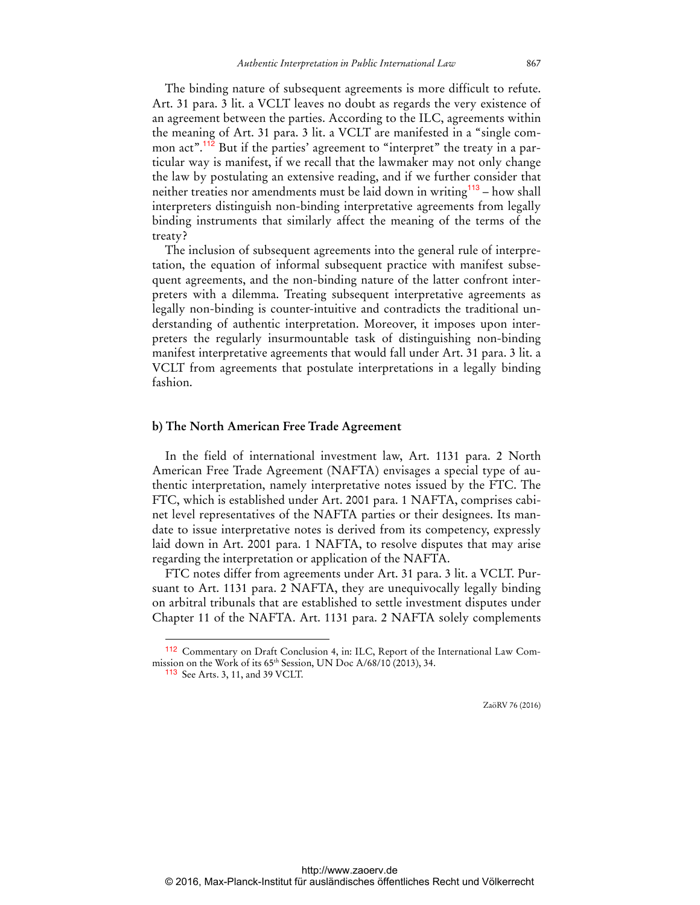The binding nature of subsequent agreements is more difficult to refute. Art. 31 para. 3 lit. a VCLT leaves no doubt as regards the very existence of an agreement between the parties. According to the ILC, agreements within the meaning of Art. 31 para. 3 lit. a VCLT are manifested in a "single common act".<sup>112</sup> But if the parties' agreement to "interpret" the treaty in a particular way is manifest, if we recall that the lawmaker may not only change the law by postulating an extensive reading, and if we further consider that neither treaties nor amendments must be laid down in writing<sup>113</sup> – how shall interpreters distinguish non-binding interpretative agreements from legally binding instruments that similarly affect the meaning of the terms of the treaty?

The inclusion of subsequent agreements into the general rule of interpretation, the equation of informal subsequent practice with manifest subsequent agreements, and the non-binding nature of the latter confront interpreters with a dilemma. Treating subsequent interpretative agreements as legally non-binding is counter-intuitive and contradicts the traditional understanding of authentic interpretation. Moreover, it imposes upon interpreters the regularly insurmountable task of distinguishing non-binding manifest interpretative agreements that would fall under Art. 31 para. 3 lit. a VCLT from agreements that postulate interpretations in a legally binding fashion.

### **b) The North American Free Trade Agreement**

In the field of international investment law, Art. 1131 para. 2 North American Free Trade Agreement (NAFTA) envisages a special type of authentic interpretation, namely interpretative notes issued by the FTC. The FTC, which is established under Art. 2001 para. 1 NAFTA, comprises cabinet level representatives of the NAFTA parties or their designees. Its mandate to issue interpretative notes is derived from its competency, expressly laid down in Art. 2001 para. 1 NAFTA, to resolve disputes that may arise regarding the interpretation or application of the NAFTA.

FTC notes differ from agreements under Art. 31 para. 3 lit. a VCLT. Pursuant to Art. 1131 para. 2 NAFTA, they are unequivocally legally binding on arbitral tribunals that are established to settle investment disputes under Chapter 11 of the NAFTA. Art. 1131 para. 2 NAFTA solely complements

 $\ddot{ }$ 

<sup>112</sup> Commentary on Draft Conclusion 4, in: ILC, Report of the International Law Commission on the Work of its 65<sup>th</sup> Session, UN Doc A/68/10 (2013), 34.

<sup>113</sup> See Arts. 3, 11, and 39 VCLT.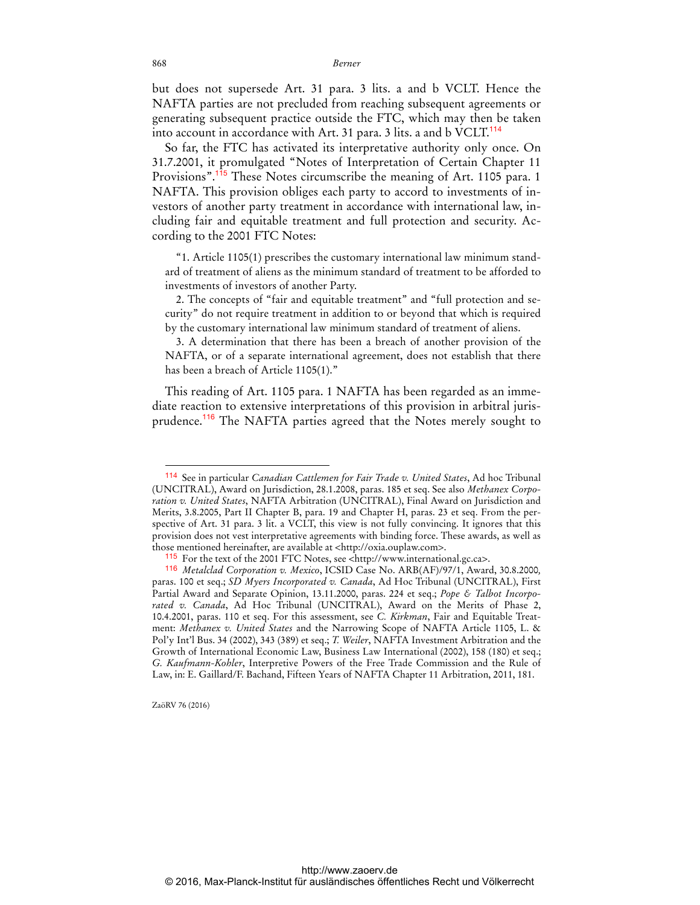but does not supersede Art. 31 para. 3 lits. a and b VCLT. Hence the NAFTA parties are not precluded from reaching subsequent agreements or generating subsequent practice outside the FTC, which may then be taken into account in accordance with Art. 31 para. 3 lits. a and b VCLT.<sup>114</sup>

So far, the FTC has activated its interpretative authority only once. On 31.7.2001, it promulgated "Notes of Interpretation of Certain Chapter 11 Provisions".<sup>115</sup> These Notes circumscribe the meaning of Art. 1105 para. 1 NAFTA. This provision obliges each party to accord to investments of investors of another party treatment in accordance with international law, including fair and equitable treatment and full protection and security. According to the 2001 FTC Notes:

"1. Article 1105(1) prescribes the customary international law minimum standard of treatment of aliens as the minimum standard of treatment to be afforded to investments of investors of another Party.

2. The concepts of "fair and equitable treatment" and "full protection and security" do not require treatment in addition to or beyond that which is required by the customary international law minimum standard of treatment of aliens.

3. A determination that there has been a breach of another provision of the NAFTA, or of a separate international agreement, does not establish that there has been a breach of Article 1105(1)."

This reading of Art. 1105 para. 1 NAFTA has been regarded as an immediate reaction to extensive interpretations of this provision in arbitral jurisprudence.<sup>116</sup> The NAFTA parties agreed that the Notes merely sought to

ZaöRV 76 (2016)

<sup>114</sup> See in particular *Canadian Cattlemen for Fair Trade v. United States*, Ad hoc Tribunal (UNCITRAL), Award on Jurisdiction, 28.1.2008, paras. 185 et seq. See also *Methanex Corporation v. United States*, NAFTA Arbitration (UNCITRAL), Final Award on Jurisdiction and Merits, 3.8.2005, Part II Chapter B, para. 19 and Chapter H, paras. 23 et seq. From the perspective of Art. 31 para. 3 lit. a VCLT, this view is not fully convincing. It ignores that this provision does not vest interpretative agreements with binding force. These awards, as well as those mentioned hereinafter, are available at [<http://oxia.ouplaw.com](http://oxia.ouplaw.com)>.

<sup>115</sup> For the text of the 2001 FTC Notes, see [<http://www.international.gc.ca](http://www.international.gc.ca)>.

<sup>116</sup> *Metalclad Corporation v. Mexico*, ICSID Case No. ARB(AF)/97/1, Award, 30.8.2000*,*  paras. 100 et seq.; *SD Myers Incorporated v. Canada*, Ad Hoc Tribunal (UNCITRAL), First Partial Award and Separate Opinion, 13.11.2000, paras. 224 et seq.; *Pope & Talbot Incorporated v. Canada*, Ad Hoc Tribunal (UNCITRAL), Award on the Merits of Phase 2, 10.4.2001, paras. 110 et seq. For this assessment, see *C. Kirkman*, Fair and Equitable Treatment: *Methanex v. United States* and the Narrowing Scope of NAFTA Article 1105, L. & Pol'y Int'l Bus. 34 (2002), 343 (389) et seq.; *T. Weiler*, NAFTA Investment Arbitration and the Growth of International Economic Law, Business Law International (2002), 158 (180) et seq.; *G. Kaufmann-Kohler*, Interpretive Powers of the Free Trade Commission and the Rule of Law, in: E. Gaillard/F. Bachand, Fifteen Years of NAFTA Chapter 11 Arbitration, 2011, 181.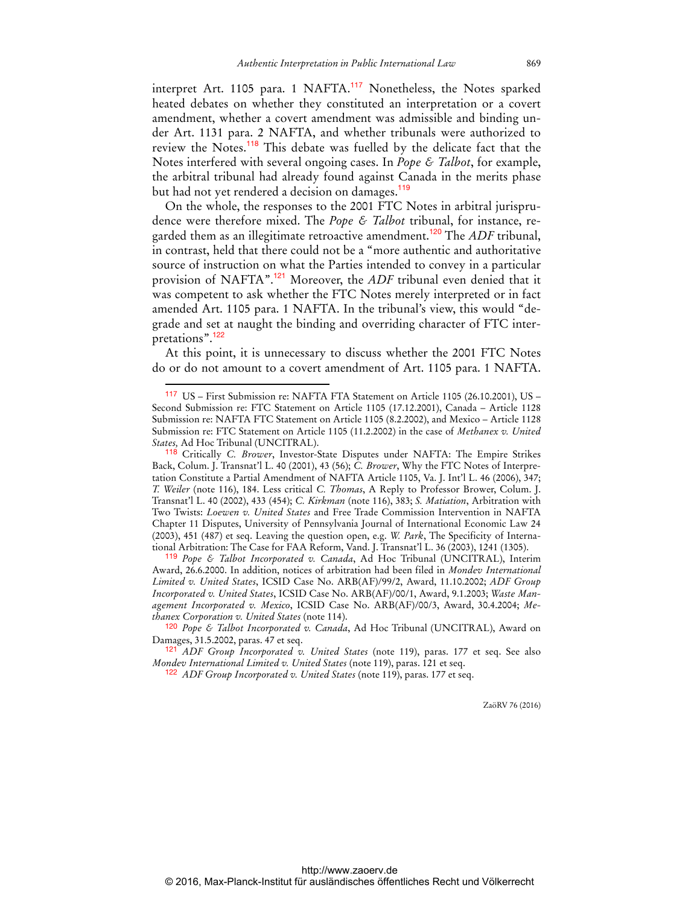interpret Art. 1105 para. 1 NAFTA.<sup>117</sup> Nonetheless, the Notes sparked heated debates on whether they constituted an interpretation or a covert amendment, whether a covert amendment was admissible and binding under Art. 1131 para. 2 NAFTA, and whether tribunals were authorized to review the Notes.<sup>118</sup> This debate was fuelled by the delicate fact that the Notes interfered with several ongoing cases. In *Pope & Talbot*, for example, the arbitral tribunal had already found against Canada in the merits phase but had not yet rendered a decision on damages.<sup>119</sup>

On the whole, the responses to the 2001 FTC Notes in arbitral jurisprudence were therefore mixed. The *Pope & Talbot* tribunal, for instance, regarded them as an illegitimate retroactive amendment.<sup>120</sup> The *ADF* tribunal, in contrast, held that there could not be a "more authentic and authoritative source of instruction on what the Parties intended to convey in a particular provision of NAFTA".<sup>121</sup> Moreover, the *ADF* tribunal even denied that it was competent to ask whether the FTC Notes merely interpreted or in fact amended Art. 1105 para. 1 NAFTA. In the tribunal's view, this would "degrade and set at naught the binding and overriding character of FTC interpretations".<sup>122</sup>

At this point, it is unnecessary to discuss whether the 2001 FTC Notes do or do not amount to a covert amendment of Art. 1105 para. 1 NAFTA.

 $\overline{a}$ 

119 *Pope & Talbot Incorporated v. Canada*, Ad Hoc Tribunal (UNCITRAL), Interim Award, 26.6.2000. In addition, notices of arbitration had been filed in *Mondev International Limited v. United States*, ICSID Case No. ARB(AF)/99/2, Award, 11.10.2002; *ADF Group Incorporated v. United States*, ICSID Case No. ARB(AF)/00/1, Award, 9.1.2003; *Waste Management Incorporated v. Mexico*, ICSID Case No. ARB(AF)/00/3, Award, 30.4.2004; *Methanex Corporation v. United States* (note 114).

120 *Pope & Talbot Incorporated v. Canada*, Ad Hoc Tribunal (UNCITRAL), Award on Damages, 31.5.2002, paras. 47 et seq.

121 *ADF Group Incorporated v. United States* (note 119), paras. 177 et seq. See also *Mondev International Limited v. United States* (note 119), paras. 121 et seq.

122 *ADF Group Incorporated v. United States* (note 119), paras. 177 et seq.

<sup>117</sup> US – First Submission re: NAFTA FTA Statement on Article 1105 (26.10.2001), US – Second Submission re: FTC Statement on Article 1105 (17.12.2001), Canada – Article 1128 Submission re: NAFTA FTC Statement on Article 1105 (8.2.2002), and Mexico – Article 1128 Submission re: FTC Statement on Article 1105 (11.2.2002) in the case of *Methanex v. United States,* Ad Hoc Tribunal (UNCITRAL).

<sup>118</sup> Critically *C. Brower*, Investor-State Disputes under NAFTA: The Empire Strikes Back, Colum. J. Transnat'l L. 40 (2001), 43 (56); *C. Brower*, Why the FTC Notes of Interpretation Constitute a Partial Amendment of NAFTA Article 1105, Va. J. Int'l L. 46 (2006), 347; *T. Weiler* (note 116), 184. Less critical *C. Thomas*, A Reply to Professor Brower, Colum. J. Transnat'l L. 40 (2002), 433 (454); *C. Kirkman* (note 116), 383; *S. Matiation*, Arbitration with Two Twists: *Loewen v. United States* and Free Trade Commission Intervention in NAFTA Chapter 11 Disputes, University of Pennsylvania Journal of International Economic Law 24 (2003), 451 (487) et seq. Leaving the question open, e.g. *W. Park*, The Specificity of International Arbitration: The Case for FAA Reform, Vand. J. Transnat'l L. 36 (2003), 1241 (1305).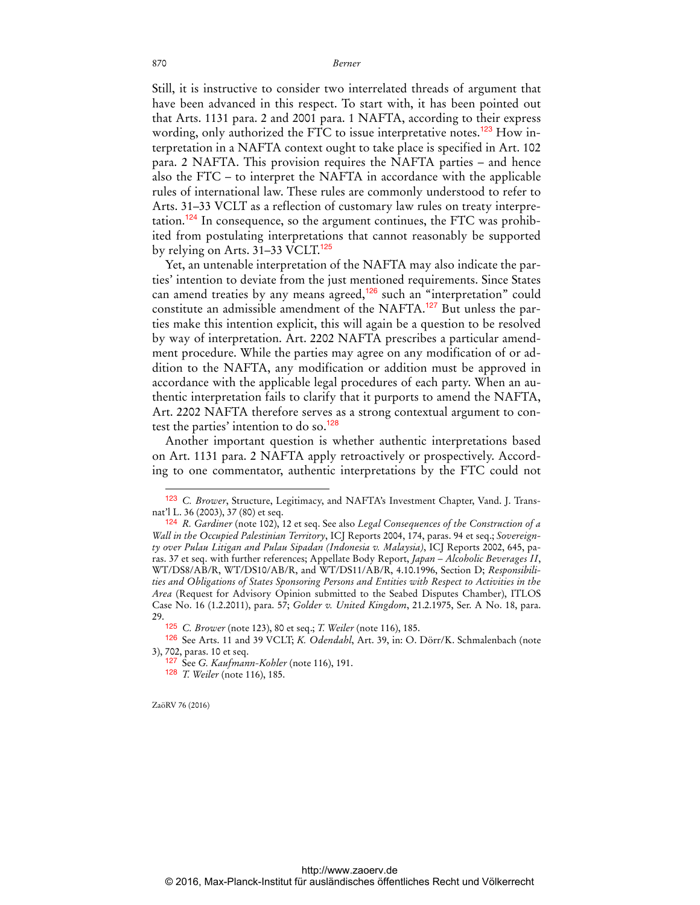Still, it is instructive to consider two interrelated threads of argument that have been advanced in this respect. To start with, it has been pointed out that Arts. 1131 para. 2 and 2001 para. 1 NAFTA, according to their express wording, only authorized the FTC to issue interpretative notes.<sup>123</sup> How interpretation in a NAFTA context ought to take place is specified in Art. 102 para. 2 NAFTA. This provision requires the NAFTA parties – and hence also the FTC – to interpret the NAFTA in accordance with the applicable rules of international law. These rules are commonly understood to refer to Arts. 31–33 VCLT as a reflection of customary law rules on treaty interpretation.<sup>124</sup> In consequence, so the argument continues, the FTC was prohibited from postulating interpretations that cannot reasonably be supported by relying on Arts.  $31-33$  VCLT.<sup>125</sup>

Yet, an untenable interpretation of the NAFTA may also indicate the parties' intention to deviate from the just mentioned requirements. Since States can amend treaties by any means agreed, $126$  such an "interpretation" could constitute an admissible amendment of the NAFTA.<sup>127</sup> But unless the parties make this intention explicit, this will again be a question to be resolved by way of interpretation. Art. 2202 NAFTA prescribes a particular amendment procedure. While the parties may agree on any modification of or addition to the NAFTA, any modification or addition must be approved in accordance with the applicable legal procedures of each party. When an authentic interpretation fails to clarify that it purports to amend the NAFTA, Art. 2202 NAFTA therefore serves as a strong contextual argument to contest the parties' intention to do so.<sup>128</sup>

Another important question is whether authentic interpretations based on Art. 1131 para. 2 NAFTA apply retroactively or prospectively. According to one commentator, authentic interpretations by the FTC could not

ZaöRV 76 (2016)

<sup>123</sup> *C. Brower*, Structure, Legitimacy, and NAFTA's Investment Chapter, Vand. J. Transnat'l L. 36 (2003), 37 (80) et seq.

<sup>124</sup> *R. Gardiner* (note 102), 12 et seq. See also *Legal Consequences of the Construction of a Wall in the Occupied Palestinian Territory*, ICJ Reports 2004, 174, paras. 94 et seq.; *Sovereignty over Pulau Litigan and Pulau Sipadan (Indonesia v. Malaysia)*, ICJ Reports 2002, 645, paras. 37 et seq. with further references; Appellate Body Report, *Japan* – *Alcoholic Beverages II*, WT/DS8/AB/R, WT/DS10/AB/R, and WT/DS11/AB/R, 4.10.1996, Section D; *Responsibilities and Obligations of States Sponsoring Persons and Entities with Respect to Activities in the Area* (Request for Advisory Opinion submitted to the Seabed Disputes Chamber), ITLOS Case No. 16 (1.2.2011), para. 57; *Golder v. United Kingdom*, 21.2.1975, Ser. A No. 18, para. 29.

<sup>125</sup> *C. Brower* (note 123), 80 et seq.; *T. Weiler* (note 116), 185.

<sup>126</sup> See Arts. 11 and 39 VCLT; *K. Odendahl*, Art. 39, in: O. Dörr/K. Schmalenbach (note 3), 702, paras. 10 et seq.

<sup>127</sup> See *G. Kaufmann-Kohler* (note 116), 191.

<sup>128</sup> *T. Weiler* (note 116), 185.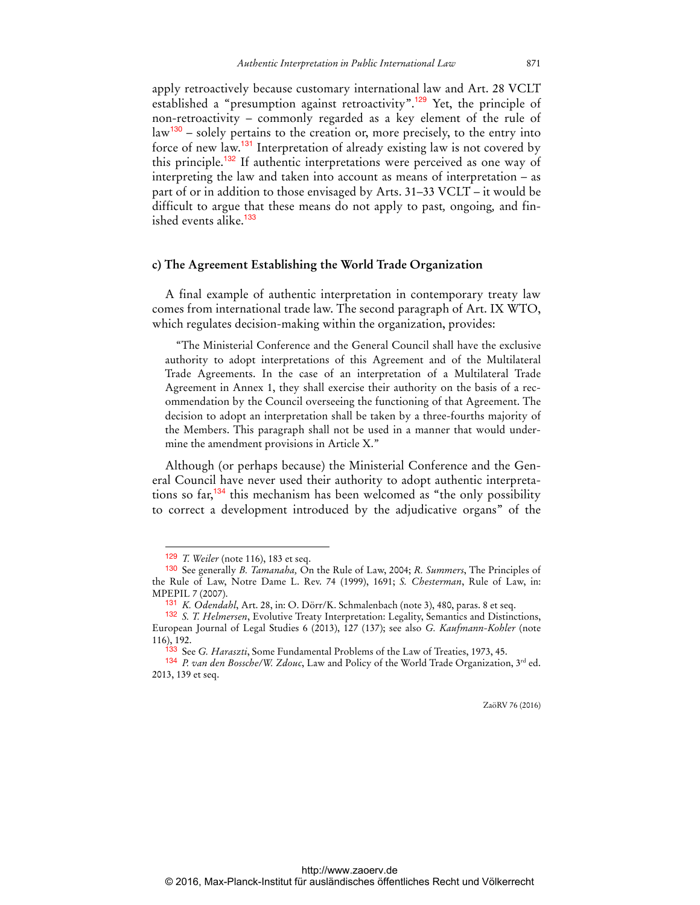apply retroactively because customary international law and Art. 28 VCLT established a "presumption against retroactivity".<sup>129</sup> Yet, the principle of non-retroactivity – commonly regarded as a key element of the rule of  $law<sup>130</sup>$  – solely pertains to the creation or, more precisely, to the entry into force of new law.<sup>131</sup> Interpretation of already existing law is not covered by this principle.<sup>132</sup> If authentic interpretations were perceived as one way of interpreting the law and taken into account as means of interpretation – as part of or in addition to those envisaged by Arts. 31–33 VCLT – it would be difficult to argue that these means do not apply to past*,* ongoing*,* and finished events alike.<sup>133</sup>

#### **c) The Agreement Establishing the World Trade Organization**

A final example of authentic interpretation in contemporary treaty law comes from international trade law. The second paragraph of Art. IX WTO, which regulates decision-making within the organization, provides:

"The Ministerial Conference and the General Council shall have the exclusive authority to adopt interpretations of this Agreement and of the Multilateral Trade Agreements. In the case of an interpretation of a Multilateral Trade Agreement in Annex 1, they shall exercise their authority on the basis of a recommendation by the Council overseeing the functioning of that Agreement. The decision to adopt an interpretation shall be taken by a three-fourths majority of the Members. This paragraph shall not be used in a manner that would undermine the amendment provisions in Article X."

Although (or perhaps because) the Ministerial Conference and the General Council have never used their authority to adopt authentic interpretations so far,<sup>134</sup> this mechanism has been welcomed as "the only possibility to correct a development introduced by the adjudicative organs" of the

 $\overline{a}$ 

<sup>129</sup> *T. Weiler* (note 116), 183 et seq.

<sup>130</sup> See generally *B. Tamanaha,* On the Rule of Law, 2004; *R. Summers*, The Principles of the Rule of Law, Notre Dame L. Rev. 74 (1999), 1691; *S. Chesterman*, Rule of Law, in: MPEPIL 7 (2007).

<sup>131</sup> *K. Odendahl*, Art. 28, in: O. Dörr/K. Schmalenbach (note 3), 480, paras. 8 et seq.

<sup>132</sup> *S. T. Helmersen*, Evolutive Treaty Interpretation: Legality, Semantics and Distinctions, European Journal of Legal Studies 6 (2013), 127 (137); see also *G. Kaufmann-Kohler* (note 116), 192.

<sup>133</sup> See *G. Haraszti*, Some Fundamental Problems of the Law of Treaties, 1973, 45.

<sup>134</sup> *P. van den Bossche/W. Zdouc*, Law and Policy of the World Trade Organization, 3rd ed. 2013, 139 et seq.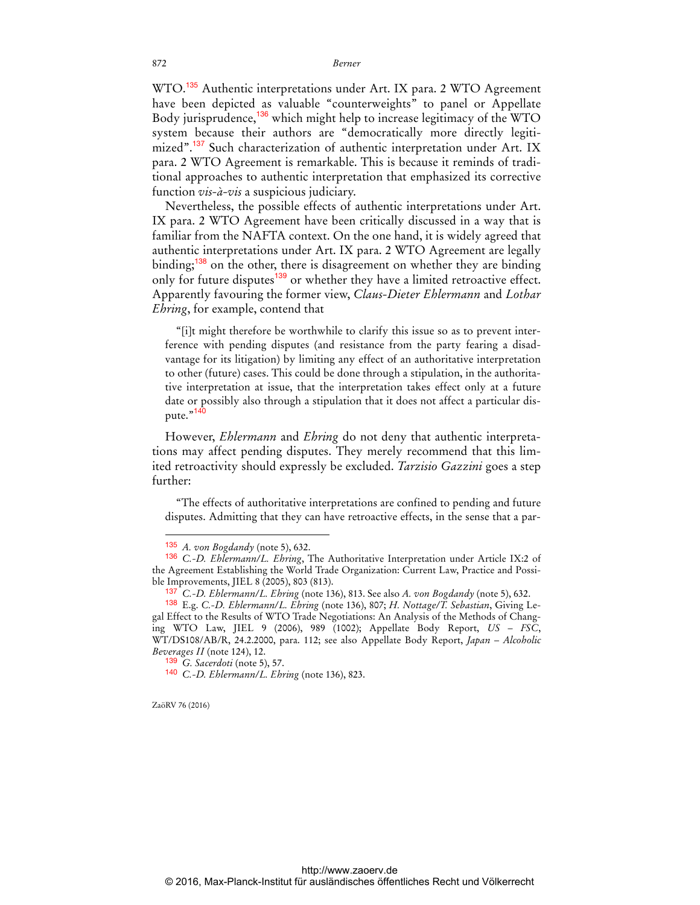WTO.<sup>135</sup> Authentic interpretations under Art. IX para. 2 WTO Agreement have been depicted as valuable "counterweights" to panel or Appellate Body jurisprudence,<sup>136</sup> which might help to increase legitimacy of the WTO system because their authors are "democratically more directly legitimized".<sup>137</sup> Such characterization of authentic interpretation under Art. IX para. 2 WTO Agreement is remarkable. This is because it reminds of traditional approaches to authentic interpretation that emphasized its corrective function *vis-à-vis* a suspicious judiciary.

Nevertheless, the possible effects of authentic interpretations under Art. IX para. 2 WTO Agreement have been critically discussed in a way that is familiar from the NAFTA context. On the one hand, it is widely agreed that authentic interpretations under Art. IX para. 2 WTO Agreement are legally binding;<sup>138</sup> on the other, there is disagreement on whether they are binding only for future disputes<sup>139</sup> or whether they have a limited retroactive effect. Apparently favouring the former view, *Claus-Dieter Ehlermann* and *Lothar Ehring*, for example, contend that

"[i]t might therefore be worthwhile to clarify this issue so as to prevent interference with pending disputes (and resistance from the party fearing a disadvantage for its litigation) by limiting any effect of an authoritative interpretation to other (future) cases. This could be done through a stipulation, in the authoritative interpretation at issue, that the interpretation takes effect only at a future date or possibly also through a stipulation that it does not affect a particular dispute."<sup>140</sup>

However, *Ehlermann* and *Ehring* do not deny that authentic interpretations may affect pending disputes. They merely recommend that this limited retroactivity should expressly be excluded. *Tarzisio Gazzini* goes a step further:

"The effects of authoritative interpretations are confined to pending and future disputes. Admitting that they can have retroactive effects, in the sense that a par-

ZaöRV 76 (2016)

<sup>135</sup> *A. von Bogdandy* (note 5), 632.

<sup>136</sup> *C.-D. Ehlermann/L. Ehring*, The Authoritative Interpretation under Article IX:2 of the Agreement Establishing the World Trade Organization: Current Law, Practice and Possible Improvements, JIEL 8 (2005), 803 (813).

<sup>137</sup> *C.-D. Ehlermann/L. Ehring* (note 136), 813. See also *A. von Bogdandy* (note 5), 632.

<sup>138</sup> E.g. *C.-D. Ehlermann/L. Ehring* (note 136), 807; *H. Nottage/T. Sebastian*, Giving Legal Effect to the Results of WTO Trade Negotiations: An Analysis of the Methods of Changing WTO Law, JIEL 9 (2006), 989 (1002); Appellate Body Report, *US* – *FSC*, WT/DS108/AB/R, 24.2.2000, para. 112; see also Appellate Body Report, *Japan* – *Alcoholic Beverages II* (note 124), 12.

<sup>139</sup> *G. Sacerdoti* (note 5), 57.

<sup>140</sup> *C.-D. Ehlermann/L. Ehring* (note 136), 823.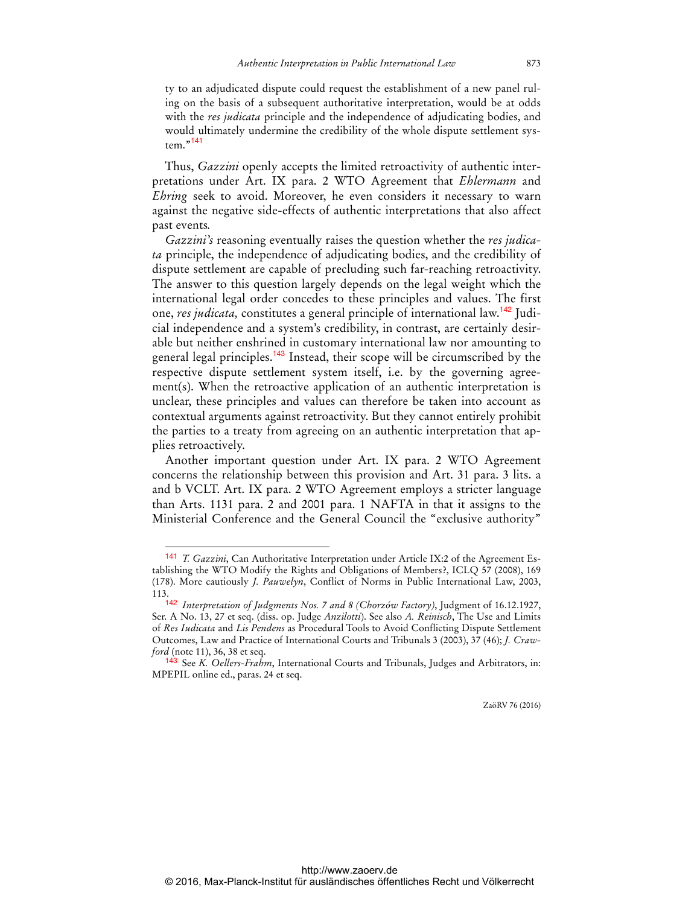ty to an adjudicated dispute could request the establishment of a new panel ruling on the basis of a subsequent authoritative interpretation, would be at odds with the *res judicata* principle and the independence of adjudicating bodies, and would ultimately undermine the credibility of the whole dispute settlement system."<sup>141</sup>

Thus, *Gazzini* openly accepts the limited retroactivity of authentic interpretations under Art. IX para. 2 WTO Agreement that *Ehlermann* and *Ehring* seek to avoid. Moreover, he even considers it necessary to warn against the negative side-effects of authentic interpretations that also affect past events*.*

*Gazzini's* reasoning eventually raises the question whether the *res judicata* principle, the independence of adjudicating bodies, and the credibility of dispute settlement are capable of precluding such far-reaching retroactivity. The answer to this question largely depends on the legal weight which the international legal order concedes to these principles and values. The first one, *res judicata,* constitutes a general principle of international law.142 Judicial independence and a system's credibility, in contrast, are certainly desirable but neither enshrined in customary international law nor amounting to general legal principles.<sup>143</sup> Instead, their scope will be circumscribed by the respective dispute settlement system itself, i.e. by the governing agreement(s). When the retroactive application of an authentic interpretation is unclear, these principles and values can therefore be taken into account as contextual arguments against retroactivity. But they cannot entirely prohibit the parties to a treaty from agreeing on an authentic interpretation that applies retroactively.

Another important question under Art. IX para. 2 WTO Agreement concerns the relationship between this provision and Art. 31 para. 3 lits. a and b VCLT. Art. IX para. 2 WTO Agreement employs a stricter language than Arts. 1131 para. 2 and 2001 para. 1 NAFTA in that it assigns to the Ministerial Conference and the General Council the "exclusive authority"

 $\overline{a}$ 

<sup>141</sup> *T. Gazzini*, Can Authoritative Interpretation under Article IX:2 of the Agreement Establishing the WTO Modify the Rights and Obligations of Members?, ICLQ 57 (2008), 169 (178). More cautiously *J. Pauwelyn*, Conflict of Norms in Public International Law, 2003, 113.

<sup>142</sup> *Interpretation of Judgments Nos. 7 and 8 (Chorzów Factory)*, Judgment of 16.12.1927, Ser. A No. 13, 27 et seq. (diss. op. Judge *Anzilotti*). See also *A. Reinisch*, The Use and Limits of *Res Iudicata* and *Lis Pendens* as Procedural Tools to Avoid Conflicting Dispute Settlement Outcomes, Law and Practice of International Courts and Tribunals 3 (2003), 37 (46); *J. Crawford* (note 11), 36, 38 et seq.

<sup>143</sup> See *K. Oellers-Frahm*, International Courts and Tribunals, Judges and Arbitrators, in: MPEPIL online ed., paras. 24 et seq.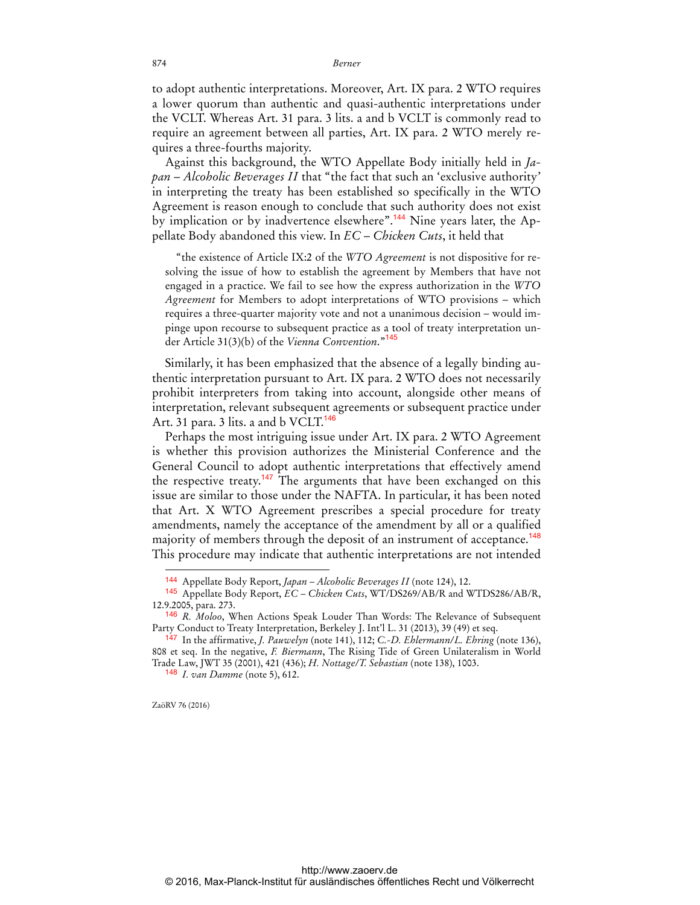to adopt authentic interpretations. Moreover, Art. IX para. 2 WTO requires a lower quorum than authentic and quasi-authentic interpretations under the VCLT. Whereas Art. 31 para. 3 lits. a and b VCLT is commonly read to require an agreement between all parties, Art. IX para. 2 WTO merely requires a three-fourths majority.

Against this background, the WTO Appellate Body initially held in *Japan* – *Alcoholic Beverages II* that "the fact that such an 'exclusive authority' in interpreting the treaty has been established so specifically in the WTO Agreement is reason enough to conclude that such authority does not exist by implication or by inadvertence elsewhere".<sup>144</sup> Nine years later, the Appellate Body abandoned this view. In *EC* – *Chicken Cuts*, it held that

"the existence of Article IX:2 of the *WTO Agreement* is not dispositive for resolving the issue of how to establish the agreement by Members that have not engaged in a practice. We fail to see how the express authorization in the *WTO Agreement* for Members to adopt interpretations of WTO provisions – which requires a three-quarter majority vote and not a unanimous decision – would impinge upon recourse to subsequent practice as a tool of treaty interpretation under Article 31(3)(b) of the *Vienna Convention*."<sup>145</sup>

Similarly, it has been emphasized that the absence of a legally binding authentic interpretation pursuant to Art. IX para. 2 WTO does not necessarily prohibit interpreters from taking into account, alongside other means of interpretation, relevant subsequent agreements or subsequent practice under Art. 31 para. 3 lits. a and b VCLT.<sup>146</sup>

Perhaps the most intriguing issue under Art. IX para. 2 WTO Agreement is whether this provision authorizes the Ministerial Conference and the General Council to adopt authentic interpretations that effectively amend the respective treaty.<sup>147</sup> The arguments that have been exchanged on this issue are similar to those under the NAFTA. In particular, it has been noted that Art. X WTO Agreement prescribes a special procedure for treaty amendments, namely the acceptance of the amendment by all or a qualified majority of members through the deposit of an instrument of acceptance.<sup>148</sup> This procedure may indicate that authentic interpretations are not intended

148 *I. van Damme* (note 5), 612.

ZaöRV 76 (2016)

<sup>144</sup> Appellate Body Report, *Japan* – *Alcoholic Beverages II* (note 124), 12.

<sup>145</sup> Appellate Body Report, *EC* – *Chicken Cuts*, WT/DS269/AB/R and WTDS286/AB/R, 12.9.2005, para. 273.

<sup>146</sup> *R. Moloo*, When Actions Speak Louder Than Words: The Relevance of Subsequent Party Conduct to Treaty Interpretation, Berkeley J. Int'l L. 31 (2013), 39 (49) et seq.

<sup>147</sup> In the affirmative, *J. Pauwelyn* (note 141), 112; *C.-D. Ehlermann/L. Ehring* (note 136), 808 et seq. In the negative, *F. Biermann*, The Rising Tide of Green Unilateralism in World Trade Law, JWT 35 (2001), 421 (436); *H. Nottage/T. Sebastian* (note 138), 1003.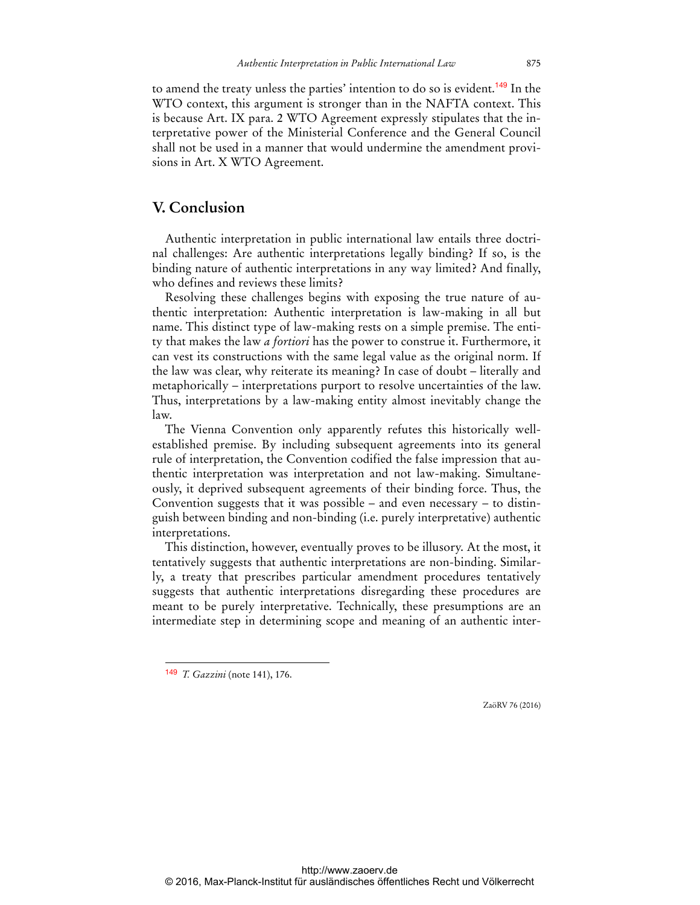to amend the treaty unless the parties' intention to do so is evident.<sup>149</sup> In the WTO context, this argument is stronger than in the NAFTA context. This is because Art. IX para. 2 WTO Agreement expressly stipulates that the interpretative power of the Ministerial Conference and the General Council shall not be used in a manner that would undermine the amendment provisions in Art. X WTO Agreement.

# **V. Conclusion**

Authentic interpretation in public international law entails three doctrinal challenges: Are authentic interpretations legally binding? If so, is the binding nature of authentic interpretations in any way limited? And finally, who defines and reviews these limits?

Resolving these challenges begins with exposing the true nature of authentic interpretation: Authentic interpretation is law-making in all but name. This distinct type of law-making rests on a simple premise. The entity that makes the law *a fortiori* has the power to construe it. Furthermore, it can vest its constructions with the same legal value as the original norm. If the law was clear, why reiterate its meaning? In case of doubt – literally and metaphorically – interpretations purport to resolve uncertainties of the law. Thus, interpretations by a law-making entity almost inevitably change the law.

The Vienna Convention only apparently refutes this historically wellestablished premise. By including subsequent agreements into its general rule of interpretation, the Convention codified the false impression that authentic interpretation was interpretation and not law-making. Simultaneously, it deprived subsequent agreements of their binding force. Thus, the Convention suggests that it was possible – and even necessary – to distinguish between binding and non-binding (i.e. purely interpretative) authentic interpretations.

This distinction, however, eventually proves to be illusory. At the most, it tentatively suggests that authentic interpretations are non-binding. Similarly, a treaty that prescribes particular amendment procedures tentatively suggests that authentic interpretations disregarding these procedures are meant to be purely interpretative. Technically, these presumptions are an intermediate step in determining scope and meaning of an authentic inter-

 $\ddot{ }$ 

<sup>149</sup> *T. Gazzini* (note 141), 176.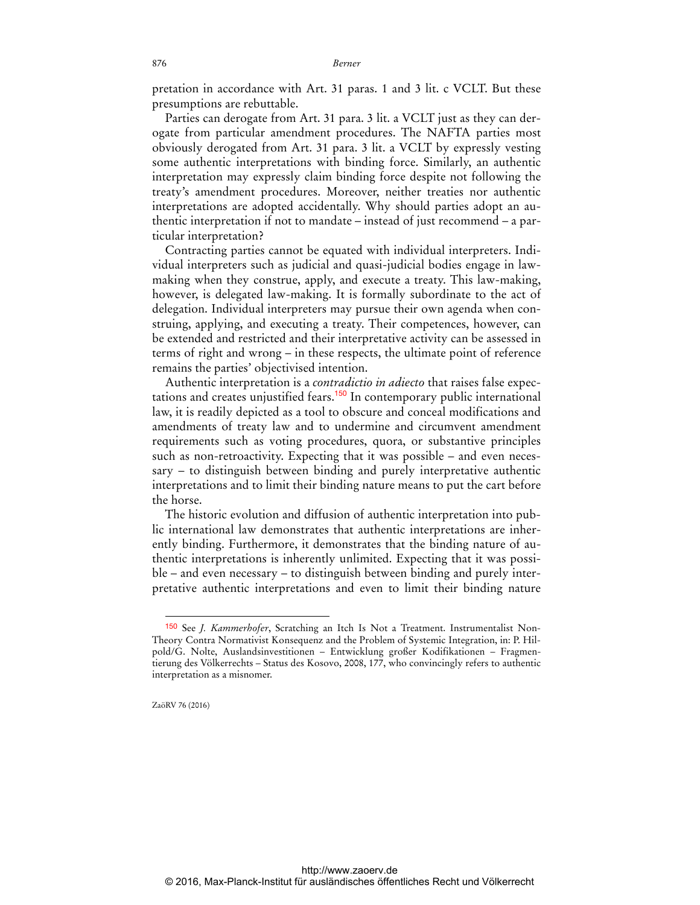pretation in accordance with Art. 31 paras. 1 and 3 lit. c VCLT. But these presumptions are rebuttable.

Parties can derogate from Art. 31 para. 3 lit. a VCLT just as they can derogate from particular amendment procedures. The NAFTA parties most obviously derogated from Art. 31 para. 3 lit. a VCLT by expressly vesting some authentic interpretations with binding force. Similarly, an authentic interpretation may expressly claim binding force despite not following the treaty's amendment procedures. Moreover, neither treaties nor authentic interpretations are adopted accidentally. Why should parties adopt an authentic interpretation if not to mandate – instead of just recommend – a particular interpretation?

Contracting parties cannot be equated with individual interpreters. Individual interpreters such as judicial and quasi-judicial bodies engage in lawmaking when they construe, apply, and execute a treaty. This law-making, however, is delegated law-making. It is formally subordinate to the act of delegation. Individual interpreters may pursue their own agenda when construing, applying, and executing a treaty. Their competences, however, can be extended and restricted and their interpretative activity can be assessed in terms of right and wrong – in these respects, the ultimate point of reference remains the parties' objectivised intention.

Authentic interpretation is a *contradictio in adiecto* that raises false expectations and creates unjustified fears.<sup>150</sup> In contemporary public international law, it is readily depicted as a tool to obscure and conceal modifications and amendments of treaty law and to undermine and circumvent amendment requirements such as voting procedures, quora, or substantive principles such as non-retroactivity. Expecting that it was possible – and even necessary – to distinguish between binding and purely interpretative authentic interpretations and to limit their binding nature means to put the cart before the horse.

The historic evolution and diffusion of authentic interpretation into public international law demonstrates that authentic interpretations are inherently binding. Furthermore, it demonstrates that the binding nature of authentic interpretations is inherently unlimited. Expecting that it was possible – and even necessary – to distinguish between binding and purely interpretative authentic interpretations and even to limit their binding nature

ZaöRV 76 (2016)

<sup>150</sup> See *J. Kammerhofer*, Scratching an Itch Is Not a Treatment. Instrumentalist Non-Theory Contra Normativist Konsequenz and the Problem of Systemic Integration, in: P. Hilpold/G. Nolte, Auslandsinvestitionen – Entwicklung großer Kodifikationen – Fragmentierung des Völkerrechts – Status des Kosovo, 2008, 177, who convincingly refers to authentic interpretation as a misnomer.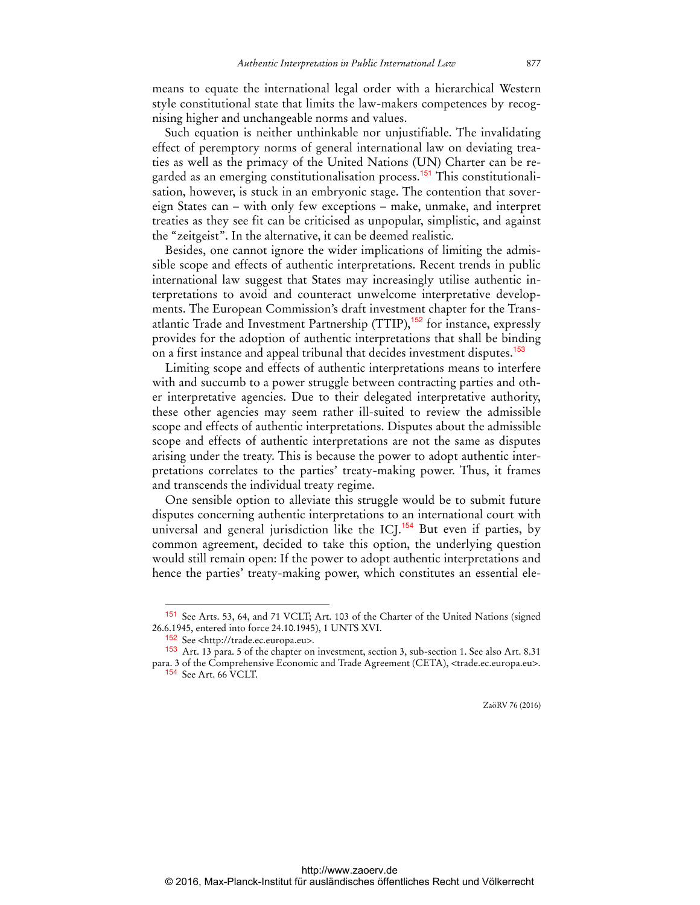means to equate the international legal order with a hierarchical Western style constitutional state that limits the law-makers competences by recognising higher and unchangeable norms and values.

Such equation is neither unthinkable nor unjustifiable. The invalidating effect of peremptory norms of general international law on deviating treaties as well as the primacy of the United Nations (UN) Charter can be regarded as an emerging constitutionalisation process.<sup>151</sup> This constitutionalisation, however, is stuck in an embryonic stage. The contention that sovereign States can – with only few exceptions – make, unmake, and interpret treaties as they see fit can be criticised as unpopular, simplistic, and against the "zeitgeist". In the alternative, it can be deemed realistic.

Besides, one cannot ignore the wider implications of limiting the admissible scope and effects of authentic interpretations. Recent trends in public international law suggest that States may increasingly utilise authentic interpretations to avoid and counteract unwelcome interpretative developments. The European Commission's draft investment chapter for the Transatlantic Trade and Investment Partnership  $(TTIP)$ ,<sup>152</sup> for instance, expressly provides for the adoption of authentic interpretations that shall be binding on a first instance and appeal tribunal that decides investment disputes.<sup>153</sup>

Limiting scope and effects of authentic interpretations means to interfere with and succumb to a power struggle between contracting parties and other interpretative agencies. Due to their delegated interpretative authority, these other agencies may seem rather ill-suited to review the admissible scope and effects of authentic interpretations. Disputes about the admissible scope and effects of authentic interpretations are not the same as disputes arising under the treaty. This is because the power to adopt authentic interpretations correlates to the parties' treaty-making power. Thus, it frames and transcends the individual treaty regime.

One sensible option to alleviate this struggle would be to submit future disputes concerning authentic interpretations to an international court with universal and general jurisdiction like the  $ICI<sup>154</sup>$  But even if parties, by common agreement, decided to take this option, the underlying question would still remain open: If the power to adopt authentic interpretations and hence the parties' treaty-making power, which constitutes an essential ele-

<sup>151</sup> See Arts. 53, 64, and 71 VCLT; Art. 103 of the Charter of the United Nations (signed 26.6.1945, entered into force 24.10.1945), 1 UNTS XVI.

<sup>152</sup> See [<http://trade.ec.europa.eu>.](http://trade.ec.europa.eu)

<sup>153</sup> Art. 13 para. 5 of the chapter on investment, section 3, sub-section 1. See also Art. 8.31 para. 3 of the Comprehensive Economic and Trade Agreement (CETA), <trade.ec.europa.eu>.

<sup>154</sup> See Art. 66 VCLT.